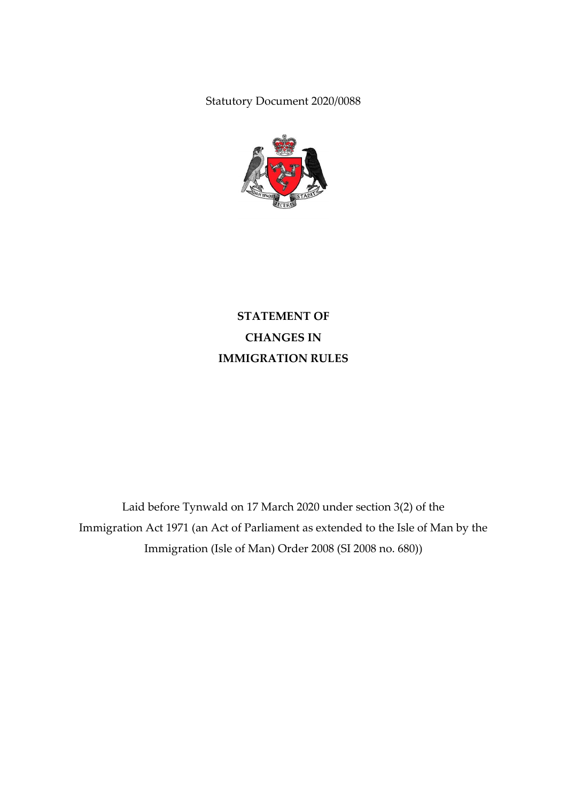Statutory Document 2020/0088



**STATEMENT OF CHANGES IN IMMIGRATION RULES**

Laid before Tynwald on 17 March 2020 under section 3(2) of the Immigration Act 1971 (an Act of Parliament as extended to the Isle of Man by the Immigration (Isle of Man) Order 2008 (SI 2008 no. 680))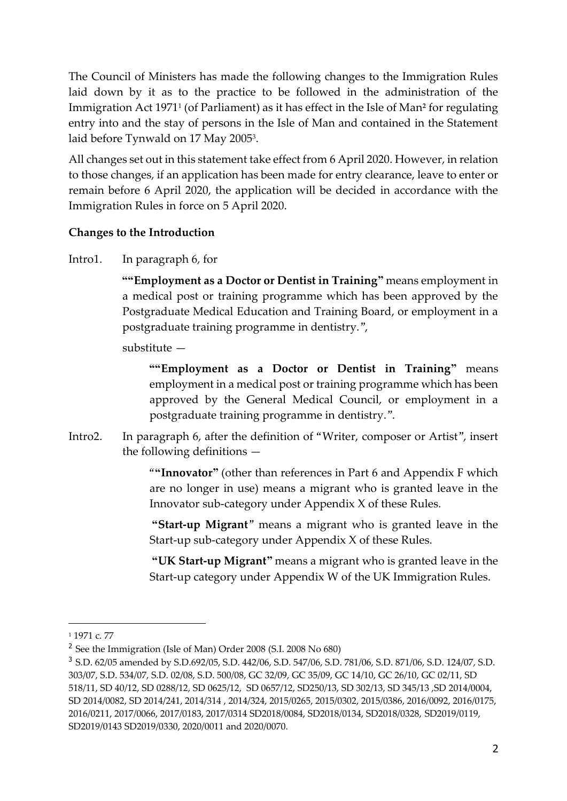The Council of Ministers has made the following changes to the Immigration Rules laid down by it as to the practice to be followed in the administration of the Immigration Act 1971<sup>1</sup> (of Parliament) as it has effect in the Isle of Man**<sup>2</sup>** for regulating entry into and the stay of persons in the Isle of Man and contained in the Statement laid before Tynwald on 17 May 2005<sup>3</sup>.

All changes set out in this statement take effect from 6 April 2020. However, in relation to those changes, if an application has been made for entry clearance, leave to enter or remain before 6 April 2020, the application will be decided in accordance with the Immigration Rules in force on 5 April 2020.

## **Changes to the Introduction**

Intro1. In paragraph 6, for

**""Employment as a Doctor or Dentist in Training"** means employment in a medical post or training programme which has been approved by the Postgraduate Medical Education and Training Board, or employment in a postgraduate training programme in dentistry.",

substitute —

**""Employment as a Doctor or Dentist in Training"** means employment in a medical post or training programme which has been approved by the General Medical Council, or employment in a postgraduate training programme in dentistry.".

Intro2. In paragraph 6, after the definition of "Writer, composer or Artist", insert the following definitions —

> "**"Innovator"** (other than references in Part 6 and Appendix F which are no longer in use) means a migrant who is granted leave in the Innovator sub-category under Appendix X of these Rules.

> **"Start-up Migrant**" means a migrant who is granted leave in the Start-up sub-category under Appendix X of these Rules.

> **"UK Start-up Migrant"** means a migrant who is granted leave in the Start-up category under Appendix W of the UK Immigration Rules.

-

<sup>1</sup> 1971 c. 77

<sup>&</sup>lt;sup>2</sup> See the Immigration (Isle of Man) Order 2008 (S.I. 2008 No 680)

<sup>3</sup> S.D. 62/05 amended by S.D.692/05, S.D. 442/06, S.D. 547/06, S.D. 781/06, S.D. 871/06, S.D. 124/07, S.D. 303/07, S.D. 534/07, S.D. 02/08, S.D. 500/08, GC 32/09, GC 35/09, GC 14/10, GC 26/10, GC 02/11, SD 518/11, SD 40/12, SD 0288/12, SD 0625/12, SD 0657/12, SD250/13, SD 302/13, SD 345/13 ,SD 2014/0004, SD 2014/0082, SD 2014/241, 2014/314 , 2014/324, 2015/0265, 2015/0302, 2015/0386, 2016/0092, 2016/0175, 2016/0211, 2017/0066, 2017/0183, 2017/0314 SD2018/0084, SD2018/0134, SD2018/0328, SD2019/0119, SD2019/0143 SD2019/0330, 2020/0011 and 2020/0070.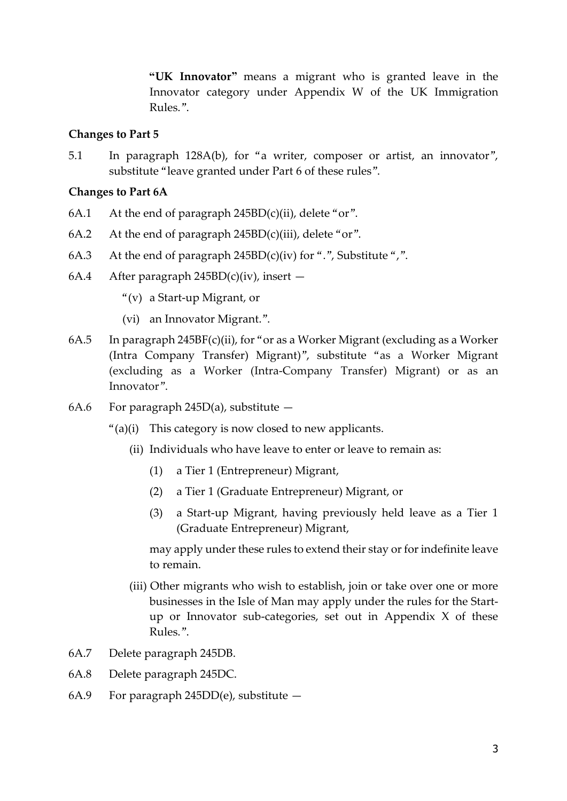**"UK Innovator"** means a migrant who is granted leave in the Innovator category under Appendix W of the UK Immigration Rules.".

#### **Changes to Part 5**

5.1 In paragraph 128A(b), for "a writer, composer or artist, an innovator", substitute "leave granted under Part 6 of these rules".

#### **Changes to Part 6A**

- 6A.1 At the end of paragraph  $245BD(c)(ii)$ , delete "or".
- 6A.2 At the end of paragraph  $245BD(c)(iii)$ , delete "or".
- 6A.3 At the end of paragraph  $245BD(c)(iv)$  for ".", Substitute ",".
- 6A.4 After paragraph  $245BD(c)(iv)$ , insert
	- "(v) a Start-up Migrant, or
	- (vi) an Innovator Migrant.".
- 6A.5 In paragraph 245BF(c)(ii), for "or as a Worker Migrant (excluding as a Worker (Intra Company Transfer) Migrant)", substitute "as a Worker Migrant (excluding as a Worker (Intra-Company Transfer) Migrant) or as an Innovator".
- 6A.6 For paragraph 245D(a), substitute  $-$ 
	- "(a)(i) This category is now closed to new applicants.
		- (ii) Individuals who have leave to enter or leave to remain as:
			- (1) a Tier 1 (Entrepreneur) Migrant,
			- (2) a Tier 1 (Graduate Entrepreneur) Migrant, or
			- (3) a Start-up Migrant, having previously held leave as a Tier 1 (Graduate Entrepreneur) Migrant,

may apply under these rules to extend their stay or for indefinite leave to remain.

- (iii) Other migrants who wish to establish, join or take over one or more businesses in the Isle of Man may apply under the rules for the Startup or Innovator sub-categories, set out in Appendix X of these Rules.".
- 6A.7 Delete paragraph 245DB.
- 6A.8 Delete paragraph 245DC.
- 6A.9 For paragraph  $245DD(e)$ , substitute  $-$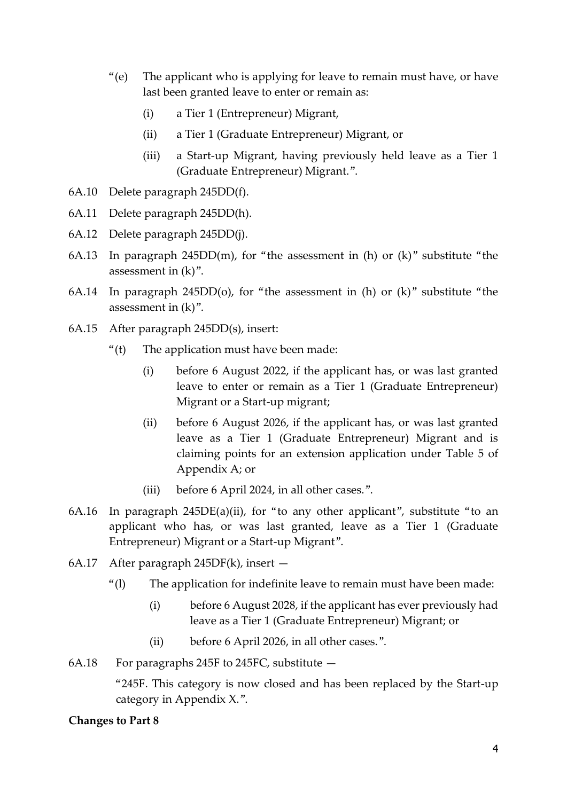- "(e) The applicant who is applying for leave to remain must have, or have last been granted leave to enter or remain as:
	- (i) a Tier 1 (Entrepreneur) Migrant,
	- (ii) a Tier 1 (Graduate Entrepreneur) Migrant, or
	- (iii) a Start-up Migrant, having previously held leave as a Tier 1 (Graduate Entrepreneur) Migrant.".
- 6A.10 Delete paragraph 245DD(f).
- 6A.11 Delete paragraph 245DD(h).
- 6A.12 Delete paragraph 245DD(j).
- 6A.13 In paragraph 245DD(m), for "the assessment in (h) or  $(k)$ " substitute "the assessment in (k)".
- 6A.14 In paragraph 245DD(o), for "the assessment in (h) or  $(k)$ " substitute "the assessment in (k)".
- 6A.15 After paragraph 245DD(s), insert:
	- " $(t)$  The application must have been made:
		- (i) before 6 August 2022, if the applicant has, or was last granted leave to enter or remain as a Tier 1 (Graduate Entrepreneur) Migrant or a Start-up migrant;
		- (ii) before 6 August 2026, if the applicant has, or was last granted leave as a Tier 1 (Graduate Entrepreneur) Migrant and is claiming points for an extension application under Table 5 of Appendix A; or
		- (iii) before 6 April 2024, in all other cases.".
- 6A.16 In paragraph 245DE(a)(ii), for "to any other applicant", substitute "to an applicant who has, or was last granted, leave as a Tier 1 (Graduate Entrepreneur) Migrant or a Start-up Migrant".
- 6A.17 After paragraph 245DF(k), insert
	- "(l) The application for indefinite leave to remain must have been made:
		- (i) before 6 August 2028, if the applicant has ever previously had leave as a Tier 1 (Graduate Entrepreneur) Migrant; or
		- (ii) before 6 April 2026, in all other cases.".
- 6A.18 For paragraphs 245F to 245FC, substitute  $-$

"245F. This category is now closed and has been replaced by the Start-up category in Appendix X.".

#### **Changes to Part 8**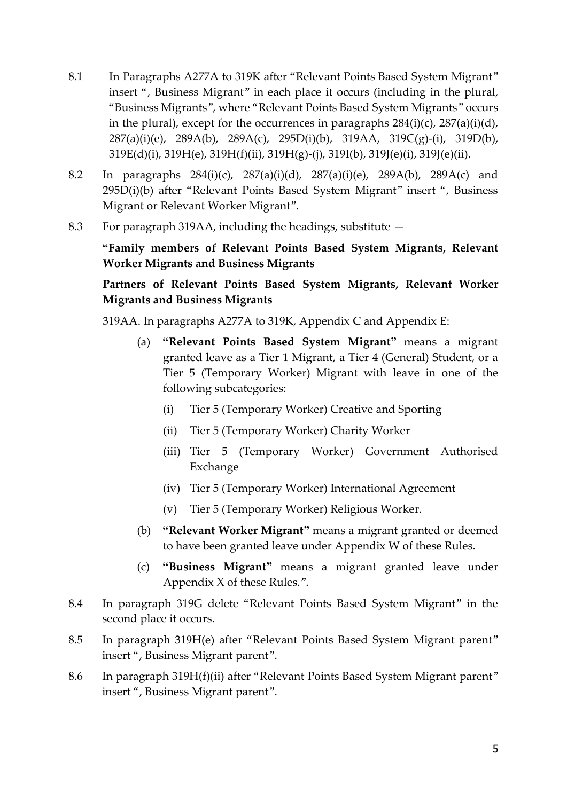- 8.1 In Paragraphs A277A to 319K after "Relevant Points Based System Migrant" insert ", Business Migrant" in each place it occurs (including in the plural, "Business Migrants", where "Relevant Points Based System Migrants" occurs in the plural), except for the occurrences in paragraphs  $284(i)(c)$ ,  $287(a)(i)(d)$ , 287(a)(i)(e), 289A(b), 289A(c), 295D(i)(b), 319AA, 319C(g)-(i), 319D(b), 319E(d)(i), 319H(e), 319H(f)(ii), 319H(g)-(j), 319I(b), 319J(e)(i), 319J(e)(ii).
- 8.2 In paragraphs 284(i)(c), 287(a)(i)(d), 287(a)(i)(e), 289A(b), 289A(c) and 295D(i)(b) after "Relevant Points Based System Migrant" insert ", Business Migrant or Relevant Worker Migrant".
- 8.3 For paragraph 319AA, including the headings, substitute —

**"Family members of Relevant Points Based System Migrants, Relevant Worker Migrants and Business Migrants**

**Partners of Relevant Points Based System Migrants, Relevant Worker Migrants and Business Migrants**

319AA. In paragraphs A277A to 319K, Appendix C and Appendix E:

- (a) **"Relevant Points Based System Migrant"** means a migrant granted leave as a Tier 1 Migrant, a Tier 4 (General) Student, or a Tier 5 (Temporary Worker) Migrant with leave in one of the following subcategories:
	- (i) Tier 5 (Temporary Worker) Creative and Sporting
	- (ii) Tier 5 (Temporary Worker) Charity Worker
	- (iii) Tier 5 (Temporary Worker) Government Authorised Exchange
	- (iv) Tier 5 (Temporary Worker) International Agreement
	- (v) Tier 5 (Temporary Worker) Religious Worker.
- (b) **"Relevant Worker Migrant"** means a migrant granted or deemed to have been granted leave under Appendix W of these Rules.
- (c) **"Business Migrant"** means a migrant granted leave under Appendix X of these Rules.".
- 8.4 In paragraph 319G delete "Relevant Points Based System Migrant" in the second place it occurs.
- 8.5 In paragraph 319H(e) after "Relevant Points Based System Migrant parent" insert ", Business Migrant parent".
- 8.6 In paragraph 319H(f)(ii) after "Relevant Points Based System Migrant parent" insert ", Business Migrant parent".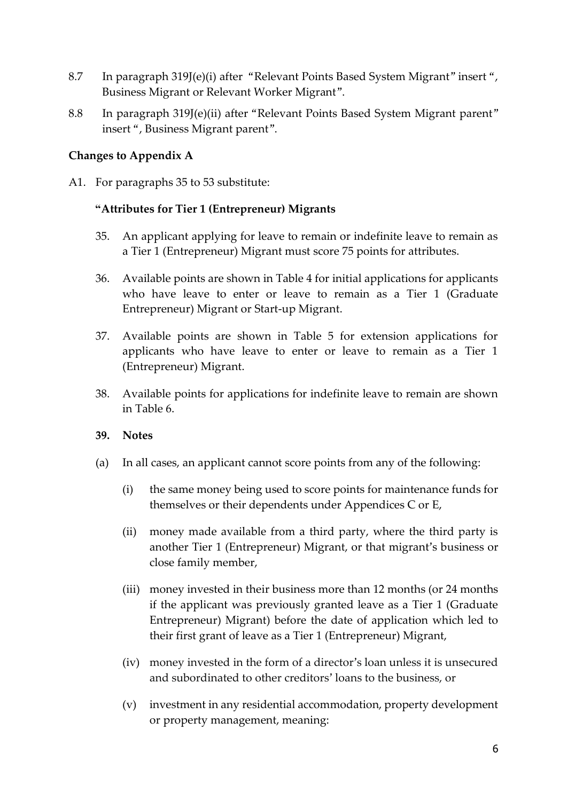- 8.7 In paragraph 319J(e)(i) after "Relevant Points Based System Migrant" insert ", Business Migrant or Relevant Worker Migrant".
- 8.8 In paragraph 319J(e)(ii) after "Relevant Points Based System Migrant parent" insert ", Business Migrant parent".

## **Changes to Appendix A**

A1. For paragraphs 35 to 53 substitute:

#### **"Attributes for Tier 1 (Entrepreneur) Migrants**

- 35. An applicant applying for leave to remain or indefinite leave to remain as a Tier 1 (Entrepreneur) Migrant must score 75 points for attributes.
- 36. Available points are shown in Table 4 for initial applications for applicants who have leave to enter or leave to remain as a Tier 1 (Graduate Entrepreneur) Migrant or Start-up Migrant.
- 37. Available points are shown in Table 5 for extension applications for applicants who have leave to enter or leave to remain as a Tier 1 (Entrepreneur) Migrant.
- 38. Available points for applications for indefinite leave to remain are shown in Table 6.

#### **39. Notes**

- (a) In all cases, an applicant cannot score points from any of the following:
	- (i) the same money being used to score points for maintenance funds for themselves or their dependents under Appendices C or E,
	- (ii) money made available from a third party, where the third party is another Tier 1 (Entrepreneur) Migrant, or that migrant's business or close family member,
	- (iii) money invested in their business more than 12 months (or 24 months if the applicant was previously granted leave as a Tier 1 (Graduate Entrepreneur) Migrant) before the date of application which led to their first grant of leave as a Tier 1 (Entrepreneur) Migrant,
	- (iv) money invested in the form of a director's loan unless it is unsecured and subordinated to other creditors' loans to the business, or
	- (v) investment in any residential accommodation, property development or property management, meaning: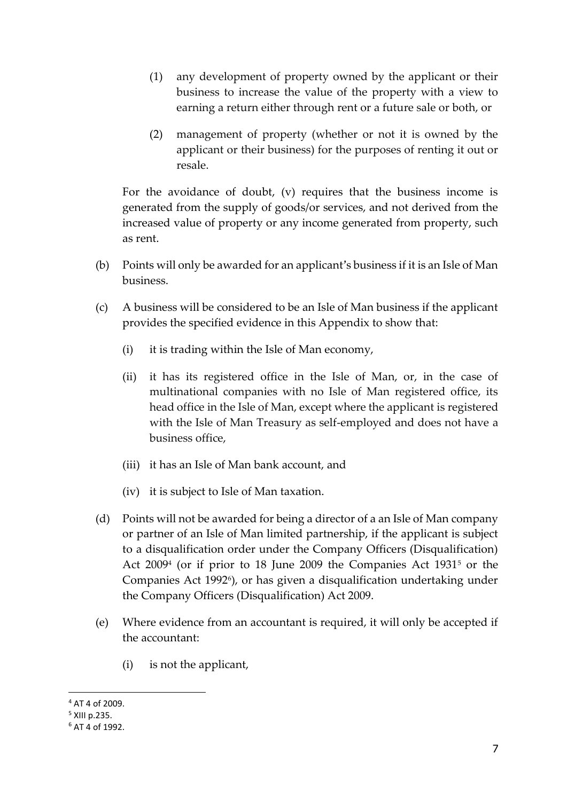- (1) any development of property owned by the applicant or their business to increase the value of the property with a view to earning a return either through rent or a future sale or both, or
- (2) management of property (whether or not it is owned by the applicant or their business) for the purposes of renting it out or resale.

For the avoidance of doubt, (v) requires that the business income is generated from the supply of goods/or services, and not derived from the increased value of property or any income generated from property, such as rent.

- (b) Points will only be awarded for an applicant's business if it is an Isle of Man business.
- (c) A business will be considered to be an Isle of Man business if the applicant provides the specified evidence in this Appendix to show that:
	- (i) it is trading within the Isle of Man economy,
	- (ii) it has its registered office in the Isle of Man, or, in the case of multinational companies with no Isle of Man registered office, its head office in the Isle of Man, except where the applicant is registered with the Isle of Man Treasury as self-employed and does not have a business office,
	- (iii) it has an Isle of Man bank account, and
	- (iv) it is subject to Isle of Man taxation.
- (d) Points will not be awarded for being a director of a an Isle of Man company or partner of an Isle of Man limited partnership, if the applicant is subject to a disqualification order under the Company Officers (Disqualification) Act 2009<sup>4</sup> (or if prior to 18 June 2009 the Companies Act 1931<sup>5</sup> or the Companies Act 1992<sup>6</sup>), or has given a disqualification undertaking under the Company Officers (Disqualification) Act 2009.
- (e) Where evidence from an accountant is required, it will only be accepted if the accountant:
	- (i) is not the applicant,

<sup>-</sup><sup>4</sup> AT 4 of 2009.

<sup>5</sup> XIII p.235.

 $6$  AT 4 of 1992.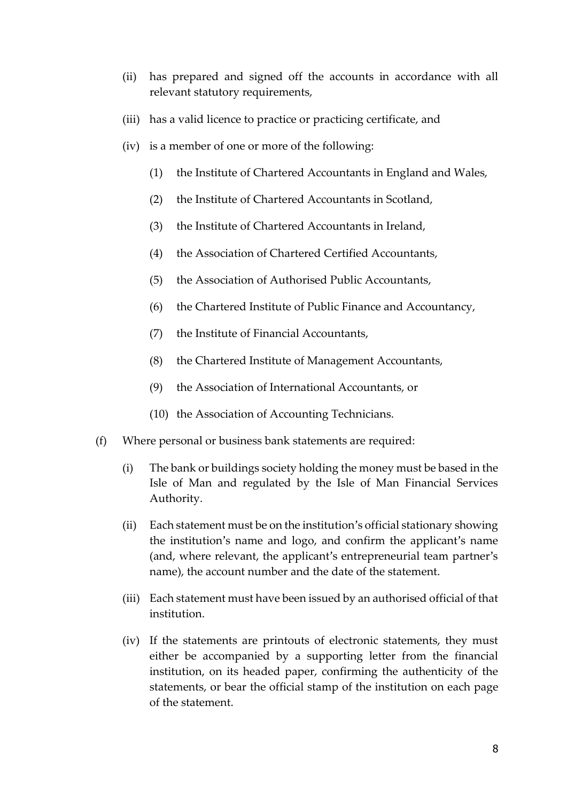- (ii) has prepared and signed off the accounts in accordance with all relevant statutory requirements,
- (iii) has a valid licence to practice or practicing certificate, and
- (iv) is a member of one or more of the following:
	- (1) the Institute of Chartered Accountants in England and Wales,
	- (2) the Institute of Chartered Accountants in Scotland,
	- (3) the Institute of Chartered Accountants in Ireland,
	- (4) the Association of Chartered Certified Accountants,
	- (5) the Association of Authorised Public Accountants,
	- (6) the Chartered Institute of Public Finance and Accountancy,
	- (7) the Institute of Financial Accountants,
	- (8) the Chartered Institute of Management Accountants,
	- (9) the Association of International Accountants, or
	- (10) the Association of Accounting Technicians.
- (f) Where personal or business bank statements are required:
	- (i) The bank or buildings society holding the money must be based in the Isle of Man and regulated by the Isle of Man Financial Services Authority.
	- (ii) Each statement must be on the institution's official stationary showing the institution's name and logo, and confirm the applicant's name (and, where relevant, the applicant's entrepreneurial team partner's name), the account number and the date of the statement.
	- (iii) Each statement must have been issued by an authorised official of that institution.
	- (iv) If the statements are printouts of electronic statements, they must either be accompanied by a supporting letter from the financial institution, on its headed paper, confirming the authenticity of the statements, or bear the official stamp of the institution on each page of the statement.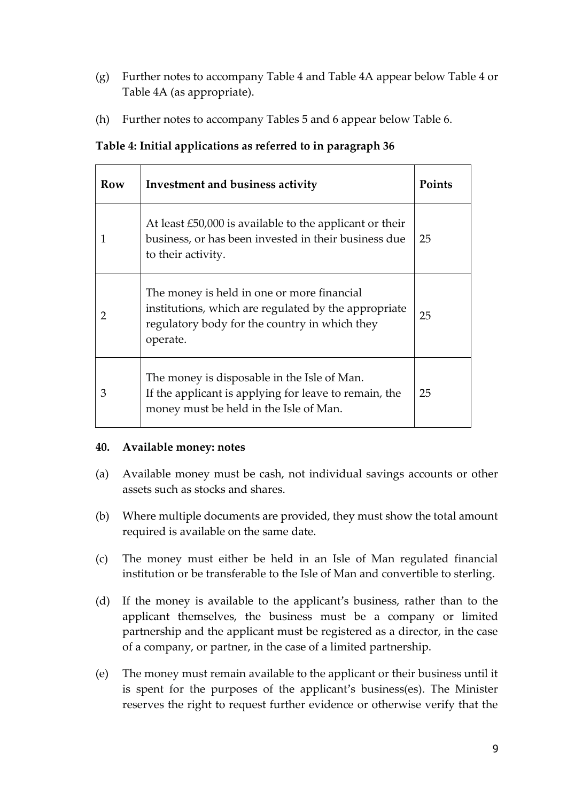- (g) Further notes to accompany Table 4 and Table 4A appear below Table 4 or Table 4A (as appropriate).
- (h) Further notes to accompany Tables 5 and 6 appear below Table 6.

| Row           | Investment and business activity                                                                                                                                | <b>Points</b> |
|---------------|-----------------------------------------------------------------------------------------------------------------------------------------------------------------|---------------|
| 1             | At least £50,000 is available to the applicant or their<br>business, or has been invested in their business due<br>to their activity.                           | 25            |
| $\mathcal{P}$ | The money is held in one or more financial<br>institutions, which are regulated by the appropriate<br>regulatory body for the country in which they<br>operate. | 25            |
| 3             | The money is disposable in the Isle of Man.<br>If the applicant is applying for leave to remain, the<br>money must be held in the Isle of Man.                  | 25            |

#### **40. Available money: notes**

- (a) Available money must be cash, not individual savings accounts or other assets such as stocks and shares.
- (b) Where multiple documents are provided, they must show the total amount required is available on the same date.
- (c) The money must either be held in an Isle of Man regulated financial institution or be transferable to the Isle of Man and convertible to sterling.
- (d) If the money is available to the applicant's business, rather than to the applicant themselves, the business must be a company or limited partnership and the applicant must be registered as a director, in the case of a company, or partner, in the case of a limited partnership.
- (e) The money must remain available to the applicant or their business until it is spent for the purposes of the applicant's business(es). The Minister reserves the right to request further evidence or otherwise verify that the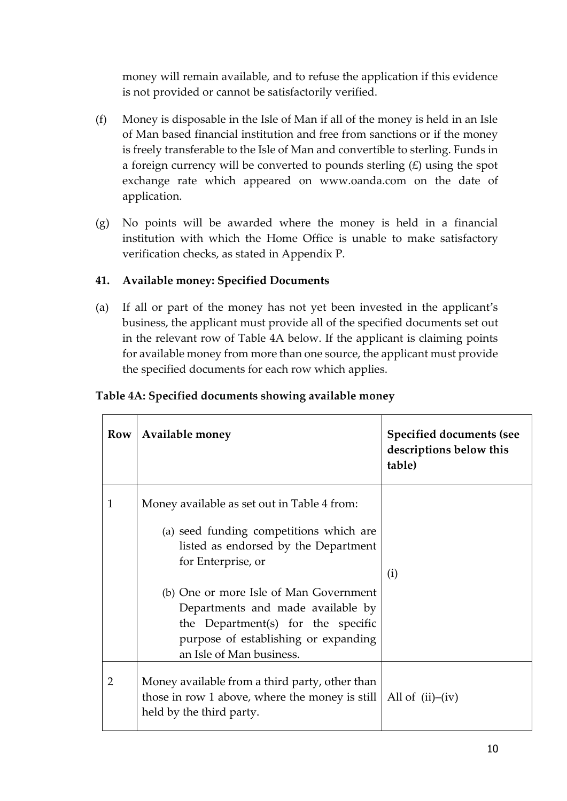money will remain available, and to refuse the application if this evidence is not provided or cannot be satisfactorily verified.

- (f) Money is disposable in the Isle of Man if all of the money is held in an Isle of Man based financial institution and free from sanctions or if the money is freely transferable to the Isle of Man and convertible to sterling. Funds in a foreign currency will be converted to pounds sterling  $(E)$  using the spot exchange rate which appeared on www.oanda.com on the date of application.
- (g) No points will be awarded where the money is held in a financial institution with which the Home Office is unable to make satisfactory verification checks, as stated in Appendix P.

# **41. Available money: Specified Documents**

(a) If all or part of the money has not yet been invested in the applicant's business, the applicant must provide all of the specified documents set out in the relevant row of Table 4A below. If the applicant is claiming points for available money from more than one source, the applicant must provide the specified documents for each row which applies.

# **Table 4A: Specified documents showing available money**

| Row          | Available money                                                                                                                                                                       | <b>Specified documents (see</b><br>descriptions below this<br>table) |
|--------------|---------------------------------------------------------------------------------------------------------------------------------------------------------------------------------------|----------------------------------------------------------------------|
| $\mathbf{1}$ | Money available as set out in Table 4 from:<br>(a) seed funding competitions which are<br>listed as endorsed by the Department<br>for Enterprise, or                                  | (i)                                                                  |
|              | (b) One or more Isle of Man Government<br>Departments and made available by<br>the Department(s) for the specific<br>purpose of establishing or expanding<br>an Isle of Man business. |                                                                      |
| 2            | Money available from a third party, other than<br>those in row 1 above, where the money is still<br>held by the third party.                                                          | All of $(ii)$ – $(iv)$                                               |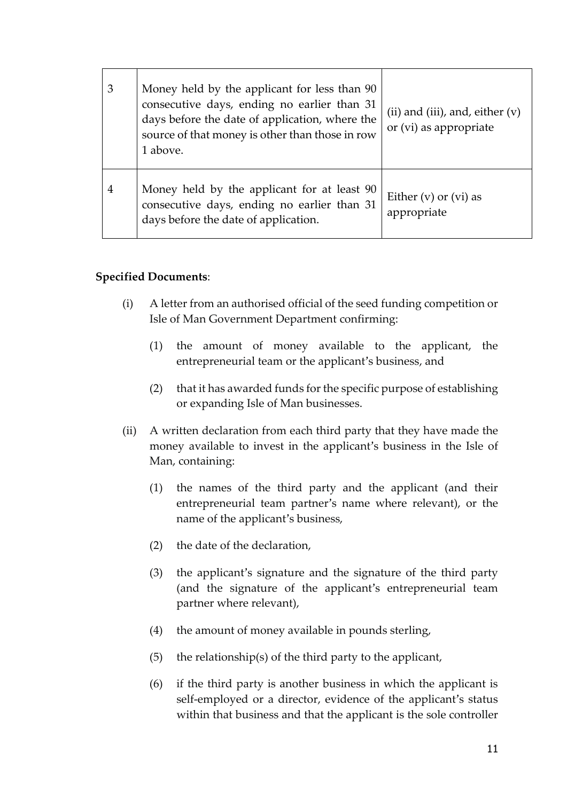| 3              | Money held by the applicant for less than 90<br>consecutive days, ending no earlier than 31<br>days before the date of application, where the<br>source of that money is other than those in row<br>1 above. | (ii) and (iii), and, either $(v)$<br>or (vi) as appropriate |
|----------------|--------------------------------------------------------------------------------------------------------------------------------------------------------------------------------------------------------------|-------------------------------------------------------------|
| $\overline{4}$ | Money held by the applicant for at least 90<br>consecutive days, ending no earlier than 31<br>days before the date of application.                                                                           | Either $(v)$ or $(vi)$ as<br>appropriate                    |

#### **Specified Documents**:

- (i) A letter from an authorised official of the seed funding competition or Isle of Man Government Department confirming:
	- (1) the amount of money available to the applicant, the entrepreneurial team or the applicant's business, and
	- (2) that it has awarded funds for the specific purpose of establishing or expanding Isle of Man businesses.
- (ii) A written declaration from each third party that they have made the money available to invest in the applicant's business in the Isle of Man, containing:
	- (1) the names of the third party and the applicant (and their entrepreneurial team partner's name where relevant), or the name of the applicant's business,
	- (2) the date of the declaration,
	- (3) the applicant's signature and the signature of the third party (and the signature of the applicant's entrepreneurial team partner where relevant),
	- (4) the amount of money available in pounds sterling,
	- (5) the relationship(s) of the third party to the applicant,
	- (6) if the third party is another business in which the applicant is self-employed or a director, evidence of the applicant's status within that business and that the applicant is the sole controller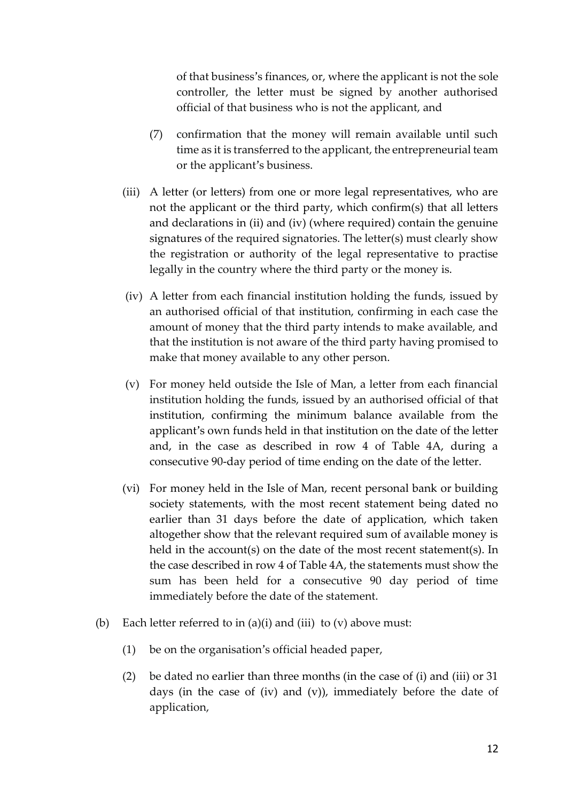of that business's finances, or, where the applicant is not the sole controller, the letter must be signed by another authorised official of that business who is not the applicant, and

- (7) confirmation that the money will remain available until such time as it is transferred to the applicant, the entrepreneurial team or the applicant's business.
- (iii) A letter (or letters) from one or more legal representatives, who are not the applicant or the third party, which confirm(s) that all letters and declarations in (ii) and (iv) (where required) contain the genuine signatures of the required signatories. The letter(s) must clearly show the registration or authority of the legal representative to practise legally in the country where the third party or the money is.
- (iv) A letter from each financial institution holding the funds, issued by an authorised official of that institution, confirming in each case the amount of money that the third party intends to make available, and that the institution is not aware of the third party having promised to make that money available to any other person.
- (v) For money held outside the Isle of Man, a letter from each financial institution holding the funds, issued by an authorised official of that institution, confirming the minimum balance available from the applicant's own funds held in that institution on the date of the letter and, in the case as described in row 4 of Table 4A, during a consecutive 90-day period of time ending on the date of the letter.
- (vi) For money held in the Isle of Man, recent personal bank or building society statements, with the most recent statement being dated no earlier than 31 days before the date of application, which taken altogether show that the relevant required sum of available money is held in the account(s) on the date of the most recent statement(s). In the case described in row 4 of Table 4A, the statements must show the sum has been held for a consecutive 90 day period of time immediately before the date of the statement.
- (b) Each letter referred to in  $(a)(i)$  and  $(iii)$  to  $(v)$  above must:
	- (1) be on the organisation's official headed paper,
	- (2) be dated no earlier than three months (in the case of (i) and (iii) or 31 days (in the case of (iv) and (v)), immediately before the date of application,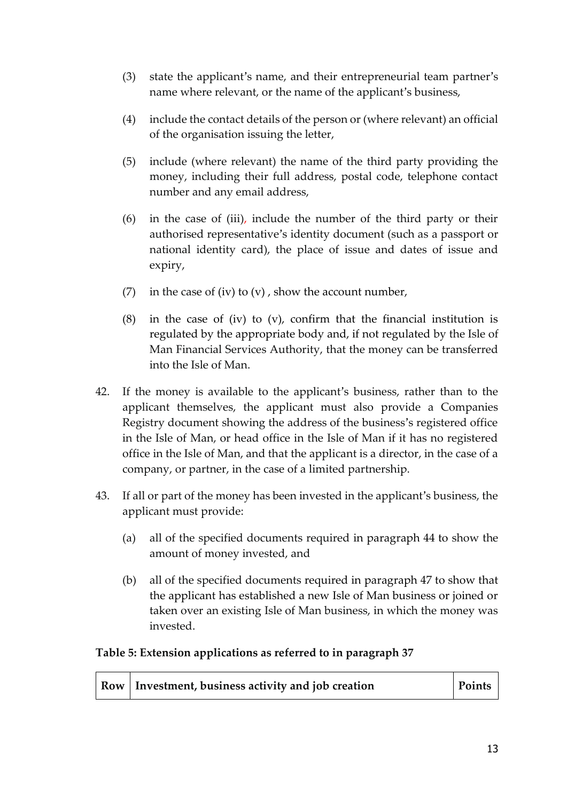- (3) state the applicant's name, and their entrepreneurial team partner's name where relevant, or the name of the applicant's business,
- (4) include the contact details of the person or (where relevant) an official of the organisation issuing the letter,
- (5) include (where relevant) the name of the third party providing the money, including their full address, postal code, telephone contact number and any email address,
- (6) in the case of (iii), include the number of the third party or their authorised representative's identity document (such as a passport or national identity card), the place of issue and dates of issue and expiry,
- (7) in the case of (iv) to  $(v)$ , show the account number,
- (8) in the case of (iv) to (v), confirm that the financial institution is regulated by the appropriate body and, if not regulated by the Isle of Man Financial Services Authority, that the money can be transferred into the Isle of Man.
- 42. If the money is available to the applicant's business, rather than to the applicant themselves, the applicant must also provide a Companies Registry document showing the address of the business's registered office in the Isle of Man, or head office in the Isle of Man if it has no registered office in the Isle of Man, and that the applicant is a director, in the case of a company, or partner, in the case of a limited partnership.
- 43. If all or part of the money has been invested in the applicant's business, the applicant must provide:
	- (a) all of the specified documents required in paragraph 44 to show the amount of money invested, and
	- (b) all of the specified documents required in paragraph 47 to show that the applicant has established a new Isle of Man business or joined or taken over an existing Isle of Man business, in which the money was invested.

## **Table 5: Extension applications as referred to in paragraph 37**

| Row   Investment, business activity and job creation | Points |
|------------------------------------------------------|--------|
|------------------------------------------------------|--------|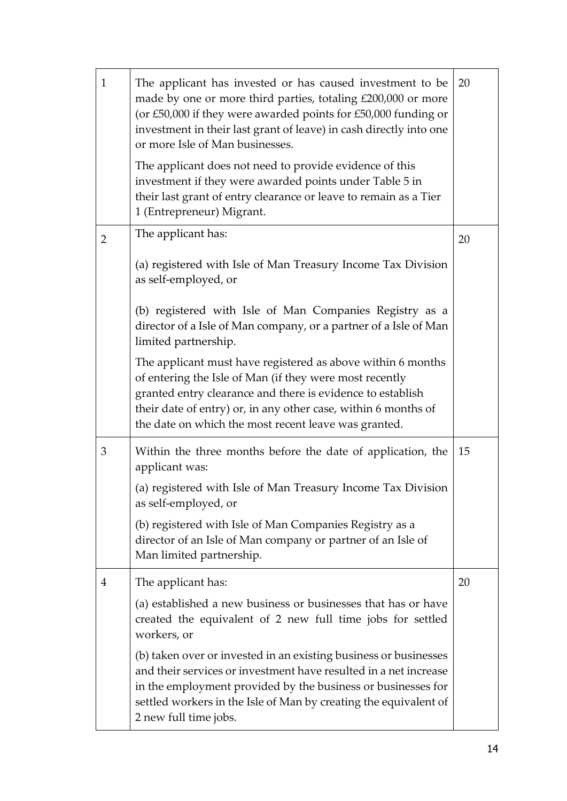| $\mathbf{1}$   | The applicant has invested or has caused investment to be<br>made by one or more third parties, totaling £200,000 or more<br>(or £50,000 if they were awarded points for £50,000 funding or<br>investment in their last grant of leave) in cash directly into one<br>or more Isle of Man businesses.<br>The applicant does not need to provide evidence of this<br>investment if they were awarded points under Table 5 in<br>their last grant of entry clearance or leave to remain as a Tier<br>1 (Entrepreneur) Migrant. | 20 |
|----------------|-----------------------------------------------------------------------------------------------------------------------------------------------------------------------------------------------------------------------------------------------------------------------------------------------------------------------------------------------------------------------------------------------------------------------------------------------------------------------------------------------------------------------------|----|
| $\overline{2}$ | The applicant has:                                                                                                                                                                                                                                                                                                                                                                                                                                                                                                          | 20 |
|                | (a) registered with Isle of Man Treasury Income Tax Division<br>as self-employed, or                                                                                                                                                                                                                                                                                                                                                                                                                                        |    |
|                | (b) registered with Isle of Man Companies Registry as a<br>director of a Isle of Man company, or a partner of a Isle of Man<br>limited partnership.                                                                                                                                                                                                                                                                                                                                                                         |    |
|                | The applicant must have registered as above within 6 months<br>of entering the Isle of Man (if they were most recently<br>granted entry clearance and there is evidence to establish<br>their date of entry) or, in any other case, within 6 months of<br>the date on which the most recent leave was granted.                                                                                                                                                                                                              |    |
| 3              | Within the three months before the date of application, the<br>applicant was:                                                                                                                                                                                                                                                                                                                                                                                                                                               | 15 |
|                | (a) registered with Isle of Man Treasury Income Tax Division<br>as self-employed, or                                                                                                                                                                                                                                                                                                                                                                                                                                        |    |
|                | (b) registered with Isle of Man Companies Registry as a<br>director of an Isle of Man company or partner of an Isle of<br>Man limited partnership.                                                                                                                                                                                                                                                                                                                                                                          |    |
| $\overline{4}$ | The applicant has:                                                                                                                                                                                                                                                                                                                                                                                                                                                                                                          | 20 |
|                | (a) established a new business or businesses that has or have<br>created the equivalent of 2 new full time jobs for settled<br>workers, or                                                                                                                                                                                                                                                                                                                                                                                  |    |
|                | (b) taken over or invested in an existing business or businesses<br>and their services or investment have resulted in a net increase<br>in the employment provided by the business or businesses for<br>settled workers in the Isle of Man by creating the equivalent of<br>2 new full time jobs.                                                                                                                                                                                                                           |    |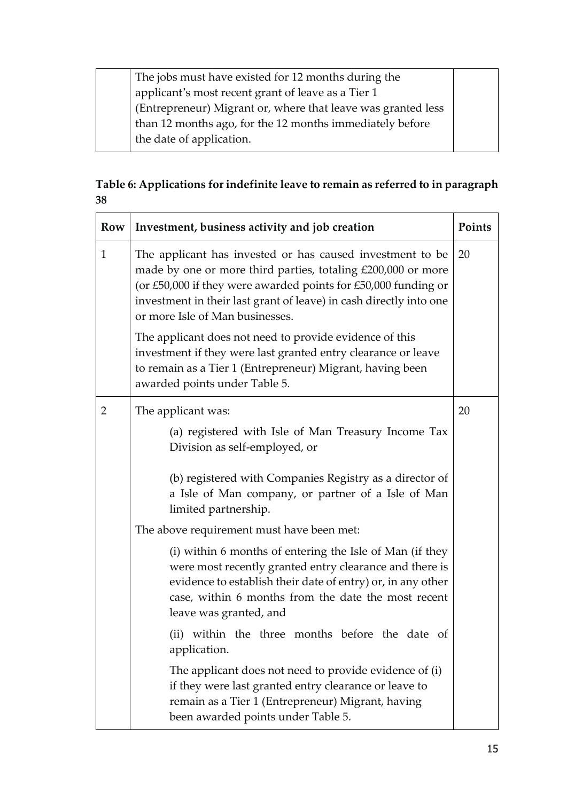The jobs must have existed for 12 months during the applicant's most recent grant of leave as a Tier 1 (Entrepreneur) Migrant or, where that leave was granted less than 12 months ago, for the 12 months immediately before the date of application.

# **Table 6: Applications for indefinite leave to remain as referred to in paragraph 38**

| Row          | Investment, business activity and job creation<br>Points                                                                                                                                                                                                                                             |  |
|--------------|------------------------------------------------------------------------------------------------------------------------------------------------------------------------------------------------------------------------------------------------------------------------------------------------------|--|
| $\mathbf{1}$ | The applicant has invested or has caused investment to be<br>made by one or more third parties, totaling £200,000 or more<br>(or £50,000 if they were awarded points for £50,000 funding or<br>investment in their last grant of leave) in cash directly into one<br>or more Isle of Man businesses. |  |
|              | The applicant does not need to provide evidence of this<br>investment if they were last granted entry clearance or leave<br>to remain as a Tier 1 (Entrepreneur) Migrant, having been<br>awarded points under Table 5.                                                                               |  |
| 2            | The applicant was:                                                                                                                                                                                                                                                                                   |  |
|              | (a) registered with Isle of Man Treasury Income Tax<br>Division as self-employed, or                                                                                                                                                                                                                 |  |
|              | (b) registered with Companies Registry as a director of<br>a Isle of Man company, or partner of a Isle of Man<br>limited partnership.                                                                                                                                                                |  |
|              | The above requirement must have been met:                                                                                                                                                                                                                                                            |  |
|              | (i) within 6 months of entering the Isle of Man (if they<br>were most recently granted entry clearance and there is<br>evidence to establish their date of entry) or, in any other<br>case, within 6 months from the date the most recent<br>leave was granted, and                                  |  |
|              | (ii) within the three months before the date of<br>application.                                                                                                                                                                                                                                      |  |
|              | The applicant does not need to provide evidence of (i)<br>if they were last granted entry clearance or leave to<br>remain as a Tier 1 (Entrepreneur) Migrant, having<br>been awarded points under Table 5.                                                                                           |  |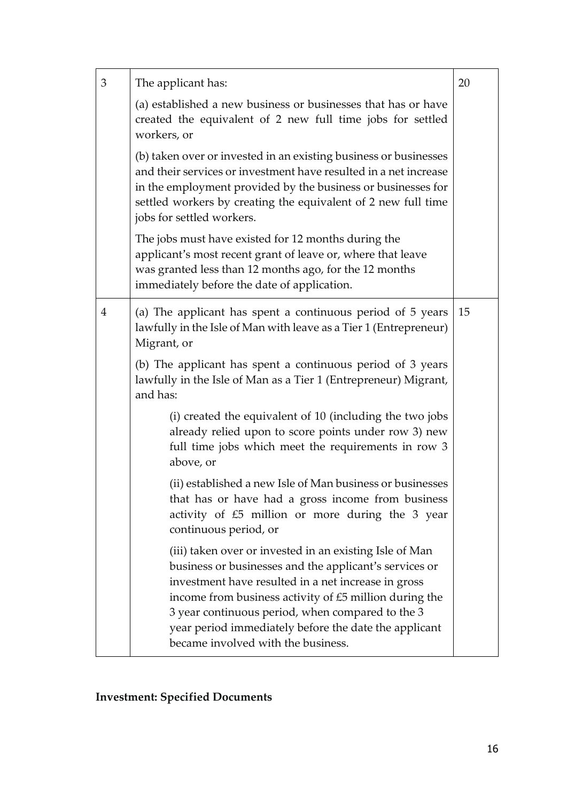| 3 | The applicant has:                                                                                                                                                                                                                                                                                                                                                                    | 20 |
|---|---------------------------------------------------------------------------------------------------------------------------------------------------------------------------------------------------------------------------------------------------------------------------------------------------------------------------------------------------------------------------------------|----|
|   | (a) established a new business or businesses that has or have<br>created the equivalent of 2 new full time jobs for settled<br>workers, or                                                                                                                                                                                                                                            |    |
|   | (b) taken over or invested in an existing business or businesses<br>and their services or investment have resulted in a net increase<br>in the employment provided by the business or businesses for<br>settled workers by creating the equivalent of 2 new full time<br>jobs for settled workers.                                                                                    |    |
|   | The jobs must have existed for 12 months during the<br>applicant's most recent grant of leave or, where that leave<br>was granted less than 12 months ago, for the 12 months<br>immediately before the date of application.                                                                                                                                                           |    |
| 4 | (a) The applicant has spent a continuous period of 5 years<br>lawfully in the Isle of Man with leave as a Tier 1 (Entrepreneur)<br>Migrant, or                                                                                                                                                                                                                                        |    |
|   | (b) The applicant has spent a continuous period of 3 years<br>lawfully in the Isle of Man as a Tier 1 (Entrepreneur) Migrant,<br>and has:                                                                                                                                                                                                                                             |    |
|   | (i) created the equivalent of 10 (including the two jobs<br>already relied upon to score points under row 3) new<br>full time jobs which meet the requirements in row 3<br>above, or                                                                                                                                                                                                  |    |
|   | (ii) established a new Isle of Man business or businesses<br>that has or have had a gross income from business<br>activity of £5 million or more during the 3 year<br>continuous period, or                                                                                                                                                                                           |    |
|   | (iii) taken over or invested in an existing Isle of Man<br>business or businesses and the applicant's services or<br>investment have resulted in a net increase in gross<br>income from business activity of £5 million during the<br>3 year continuous period, when compared to the 3<br>year period immediately before the date the applicant<br>became involved with the business. |    |

# **Investment: Specified Documents**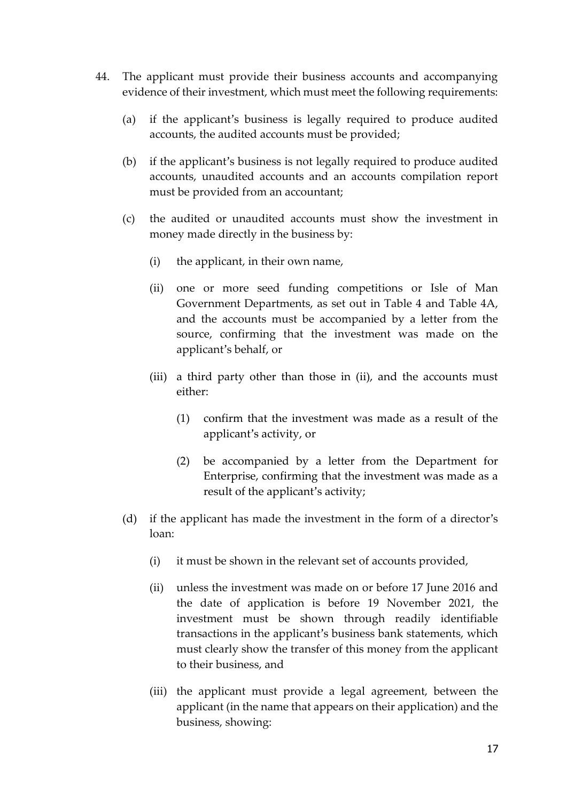- 44. The applicant must provide their business accounts and accompanying evidence of their investment, which must meet the following requirements:
	- (a) if the applicant's business is legally required to produce audited accounts, the audited accounts must be provided;
	- (b) if the applicant's business is not legally required to produce audited accounts, unaudited accounts and an accounts compilation report must be provided from an accountant;
	- (c) the audited or unaudited accounts must show the investment in money made directly in the business by:
		- (i) the applicant, in their own name,
		- (ii) one or more seed funding competitions or Isle of Man Government Departments, as set out in Table 4 and Table 4A, and the accounts must be accompanied by a letter from the source, confirming that the investment was made on the applicant's behalf, or
		- (iii) a third party other than those in (ii), and the accounts must either:
			- (1) confirm that the investment was made as a result of the applicant's activity, or
			- (2) be accompanied by a letter from the Department for Enterprise, confirming that the investment was made as a result of the applicant's activity;
	- (d) if the applicant has made the investment in the form of a director's loan:
		- (i) it must be shown in the relevant set of accounts provided,
		- (ii) unless the investment was made on or before 17 June 2016 and the date of application is before 19 November 2021, the investment must be shown through readily identifiable transactions in the applicant's business bank statements, which must clearly show the transfer of this money from the applicant to their business, and
		- (iii) the applicant must provide a legal agreement, between the applicant (in the name that appears on their application) and the business, showing: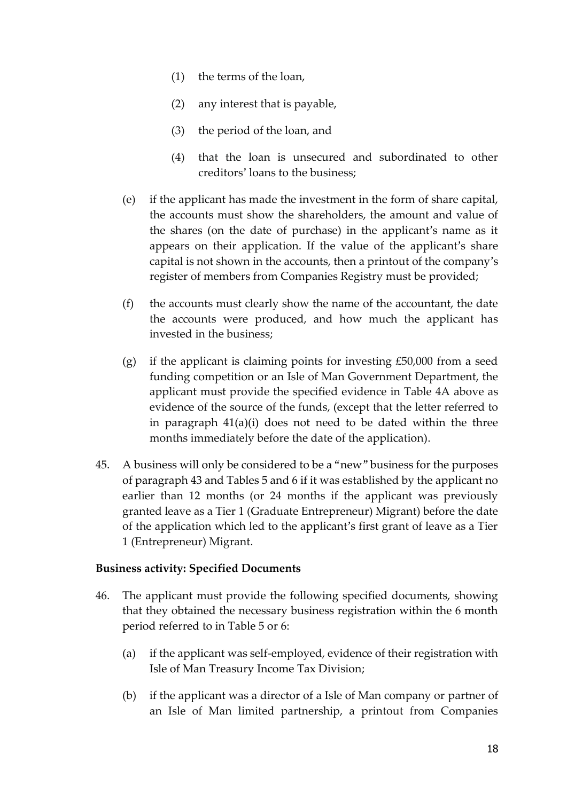- (1) the terms of the loan,
- (2) any interest that is payable,
- (3) the period of the loan, and
- (4) that the loan is unsecured and subordinated to other creditors' loans to the business;
- (e) if the applicant has made the investment in the form of share capital, the accounts must show the shareholders, the amount and value of the shares (on the date of purchase) in the applicant's name as it appears on their application. If the value of the applicant's share capital is not shown in the accounts, then a printout of the company's register of members from Companies Registry must be provided;
- (f) the accounts must clearly show the name of the accountant, the date the accounts were produced, and how much the applicant has invested in the business;
- (g) if the applicant is claiming points for investing £50,000 from a seed funding competition or an Isle of Man Government Department, the applicant must provide the specified evidence in Table 4A above as evidence of the source of the funds, (except that the letter referred to in paragraph 41(a)(i) does not need to be dated within the three months immediately before the date of the application).
- 45. A business will only be considered to be a "new" business for the purposes of paragraph 43 and Tables 5 and 6 if it was established by the applicant no earlier than 12 months (or 24 months if the applicant was previously granted leave as a Tier 1 (Graduate Entrepreneur) Migrant) before the date of the application which led to the applicant's first grant of leave as a Tier 1 (Entrepreneur) Migrant.

#### **Business activity: Specified Documents**

- 46. The applicant must provide the following specified documents, showing that they obtained the necessary business registration within the 6 month period referred to in Table 5 or 6:
	- (a) if the applicant was self-employed, evidence of their registration with Isle of Man Treasury Income Tax Division;
	- (b) if the applicant was a director of a Isle of Man company or partner of an Isle of Man limited partnership, a printout from Companies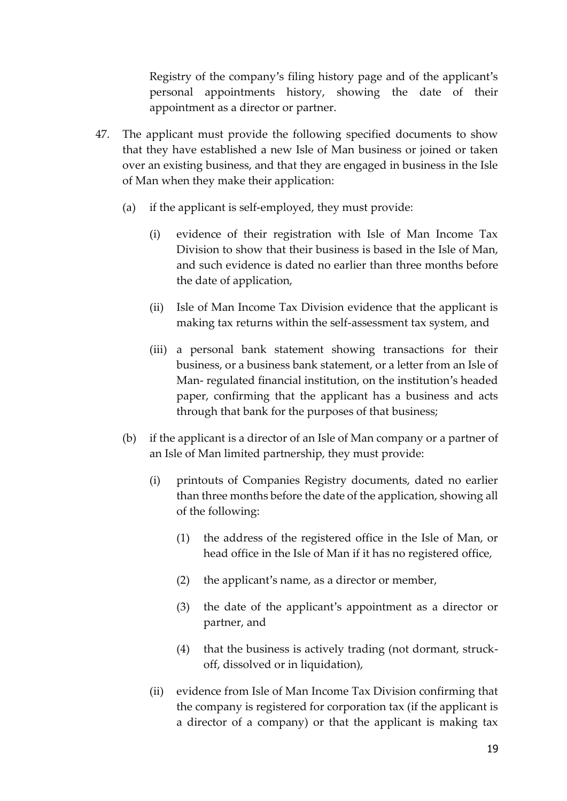Registry of the company's filing history page and of the applicant's personal appointments history, showing the date of their appointment as a director or partner.

- 47. The applicant must provide the following specified documents to show that they have established a new Isle of Man business or joined or taken over an existing business, and that they are engaged in business in the Isle of Man when they make their application:
	- (a) if the applicant is self-employed, they must provide:
		- (i) evidence of their registration with Isle of Man Income Tax Division to show that their business is based in the Isle of Man, and such evidence is dated no earlier than three months before the date of application,
		- (ii) Isle of Man Income Tax Division evidence that the applicant is making tax returns within the self-assessment tax system, and
		- (iii) a personal bank statement showing transactions for their business, or a business bank statement, or a letter from an Isle of Man- regulated financial institution, on the institution's headed paper, confirming that the applicant has a business and acts through that bank for the purposes of that business;
	- (b) if the applicant is a director of an Isle of Man company or a partner of an Isle of Man limited partnership, they must provide:
		- (i) printouts of Companies Registry documents, dated no earlier than three months before the date of the application, showing all of the following:
			- (1) the address of the registered office in the Isle of Man, or head office in the Isle of Man if it has no registered office,
			- (2) the applicant's name, as a director or member,
			- (3) the date of the applicant's appointment as a director or partner, and
			- (4) that the business is actively trading (not dormant, struckoff, dissolved or in liquidation),
		- (ii) evidence from Isle of Man Income Tax Division confirming that the company is registered for corporation tax (if the applicant is a director of a company) or that the applicant is making tax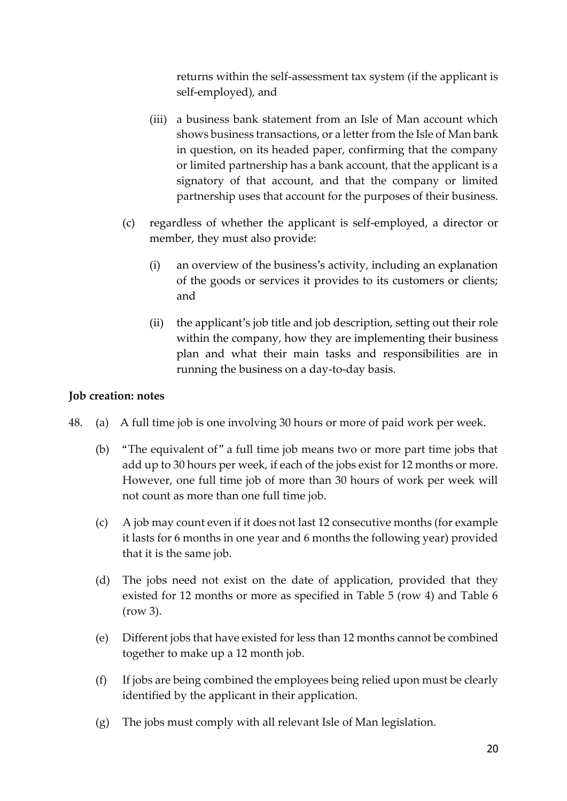returns within the self-assessment tax system (if the applicant is self-employed), and

- (iii) a business bank statement from an Isle of Man account which shows business transactions, or a letter from the Isle of Man bank in question, on its headed paper, confirming that the company or limited partnership has a bank account, that the applicant is a signatory of that account, and that the company or limited partnership uses that account for the purposes of their business.
- (c) regardless of whether the applicant is self-employed, a director or member, they must also provide:
	- (i) an overview of the business's activity, including an explanation of the goods or services it provides to its customers or clients; and
	- (ii) the applicant's job title and job description, setting out their role within the company, how they are implementing their business plan and what their main tasks and responsibilities are in running the business on a day-to-day basis.

#### **Job creation: notes**

- 48. (a) A full time job is one involving 30 hours or more of paid work per week.
	- (b) "The equivalent of" a full time job means two or more part time jobs that add up to 30 hours per week, if each of the jobs exist for 12 months or more. However, one full time job of more than 30 hours of work per week will not count as more than one full time job.
	- (c) A job may count even if it does not last 12 consecutive months (for example it lasts for 6 months in one year and 6 months the following year) provided that it is the same job.
	- (d) The jobs need not exist on the date of application, provided that they existed for 12 months or more as specified in Table 5 (row 4) and Table 6 (row 3).
	- (e) Different jobs that have existed for less than 12 months cannot be combined together to make up a 12 month job.
	- (f) If jobs are being combined the employees being relied upon must be clearly identified by the applicant in their application.
	- (g) The jobs must comply with all relevant Isle of Man legislation.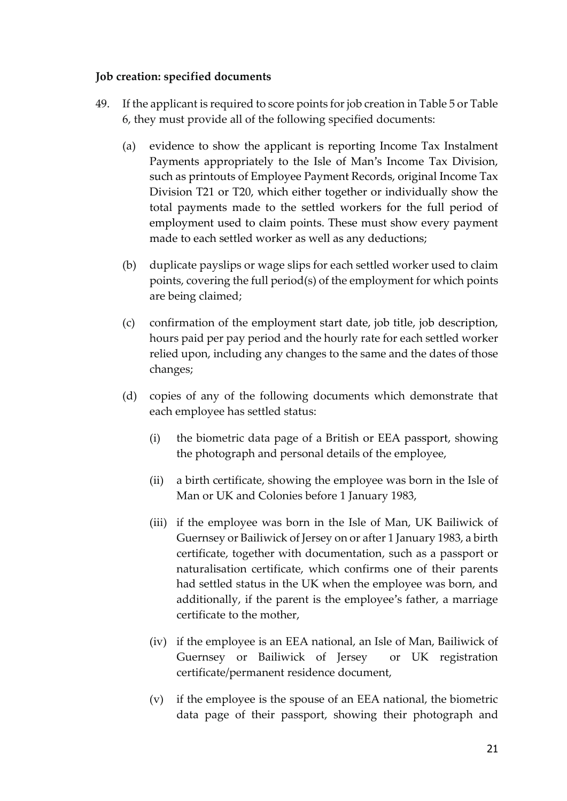#### **Job creation: specified documents**

- 49. If the applicant is required to score points for job creation in Table 5 or Table 6, they must provide all of the following specified documents:
	- (a) evidence to show the applicant is reporting Income Tax Instalment Payments appropriately to the Isle of Man's Income Tax Division, such as printouts of Employee Payment Records, original Income Tax Division T21 or T20, which either together or individually show the total payments made to the settled workers for the full period of employment used to claim points. These must show every payment made to each settled worker as well as any deductions;
	- (b) duplicate payslips or wage slips for each settled worker used to claim points, covering the full period(s) of the employment for which points are being claimed;
	- (c) confirmation of the employment start date, job title, job description, hours paid per pay period and the hourly rate for each settled worker relied upon, including any changes to the same and the dates of those changes;
	- (d) copies of any of the following documents which demonstrate that each employee has settled status:
		- (i) the biometric data page of a British or EEA passport, showing the photograph and personal details of the employee,
		- (ii) a birth certificate, showing the employee was born in the Isle of Man or UK and Colonies before 1 January 1983,
		- (iii) if the employee was born in the Isle of Man, UK Bailiwick of Guernsey or Bailiwick of Jersey on or after 1 January 1983, a birth certificate, together with documentation, such as a passport or naturalisation certificate, which confirms one of their parents had settled status in the UK when the employee was born, and additionally, if the parent is the employee's father, a marriage certificate to the mother,
		- (iv) if the employee is an EEA national, an Isle of Man, Bailiwick of Guernsey or Bailiwick of Jersey or UK registration certificate/permanent residence document,
		- (v) if the employee is the spouse of an EEA national, the biometric data page of their passport, showing their photograph and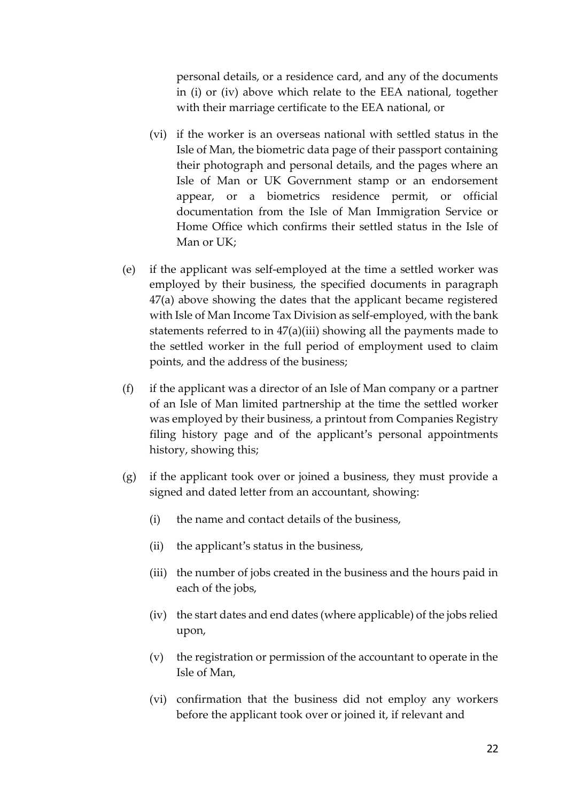personal details, or a residence card, and any of the documents in (i) or (iv) above which relate to the EEA national, together with their marriage certificate to the EEA national, or

- (vi) if the worker is an overseas national with settled status in the Isle of Man, the biometric data page of their passport containing their photograph and personal details, and the pages where an Isle of Man or UK Government stamp or an endorsement appear, or a biometrics residence permit, or official documentation from the Isle of Man Immigration Service or Home Office which confirms their settled status in the Isle of Man or UK;
- (e) if the applicant was self-employed at the time a settled worker was employed by their business, the specified documents in paragraph 47(a) above showing the dates that the applicant became registered with Isle of Man Income Tax Division as self-employed, with the bank statements referred to in 47(a)(iii) showing all the payments made to the settled worker in the full period of employment used to claim points, and the address of the business;
- (f) if the applicant was a director of an Isle of Man company or a partner of an Isle of Man limited partnership at the time the settled worker was employed by their business, a printout from Companies Registry filing history page and of the applicant's personal appointments history, showing this;
- (g) if the applicant took over or joined a business, they must provide a signed and dated letter from an accountant, showing:
	- (i) the name and contact details of the business,
	- (ii) the applicant's status in the business,
	- (iii) the number of jobs created in the business and the hours paid in each of the jobs,
	- (iv) the start dates and end dates (where applicable) of the jobs relied upon,
	- (v) the registration or permission of the accountant to operate in the Isle of Man,
	- (vi) confirmation that the business did not employ any workers before the applicant took over or joined it, if relevant and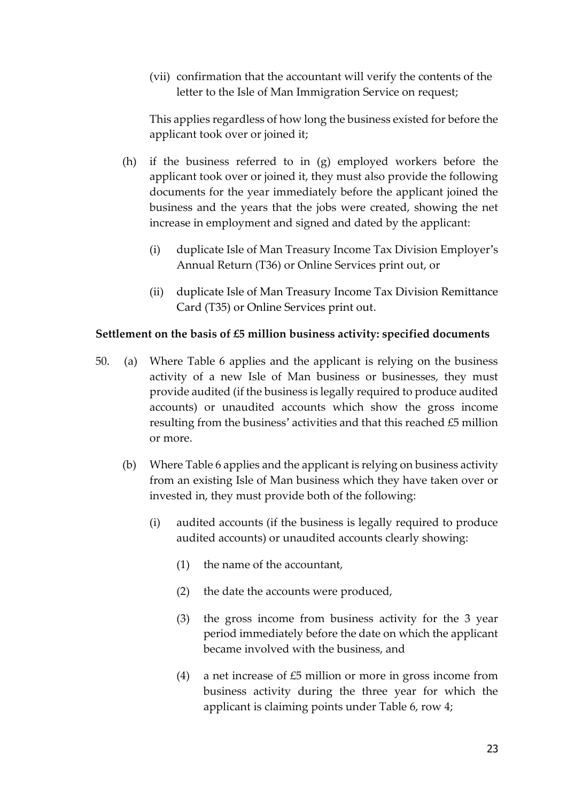(vii) confirmation that the accountant will verify the contents of the letter to the Isle of Man Immigration Service on request;

This applies regardless of how long the business existed for before the applicant took over or joined it;

- (h) if the business referred to in (g) employed workers before the applicant took over or joined it, they must also provide the following documents for the year immediately before the applicant joined the business and the years that the jobs were created, showing the net increase in employment and signed and dated by the applicant:
	- (i) duplicate Isle of Man Treasury Income Tax Division Employer's Annual Return (T36) or Online Services print out, or
	- (ii) duplicate Isle of Man Treasury Income Tax Division Remittance Card (T35) or Online Services print out.

#### **Settlement on the basis of £5 million business activity: specified documents**

- 50. (a) Where Table 6 applies and the applicant is relying on the business activity of a new Isle of Man business or businesses, they must provide audited (if the business is legally required to produce audited accounts) or unaudited accounts which show the gross income resulting from the business' activities and that this reached £5 million or more.
	- (b) Where Table 6 applies and the applicant is relying on business activity from an existing Isle of Man business which they have taken over or invested in, they must provide both of the following:
		- (i) audited accounts (if the business is legally required to produce audited accounts) or unaudited accounts clearly showing:
			- (1) the name of the accountant,
			- (2) the date the accounts were produced,
			- (3) the gross income from business activity for the 3 year period immediately before the date on which the applicant became involved with the business, and
			- (4) a net increase of £5 million or more in gross income from business activity during the three year for which the applicant is claiming points under Table 6, row 4;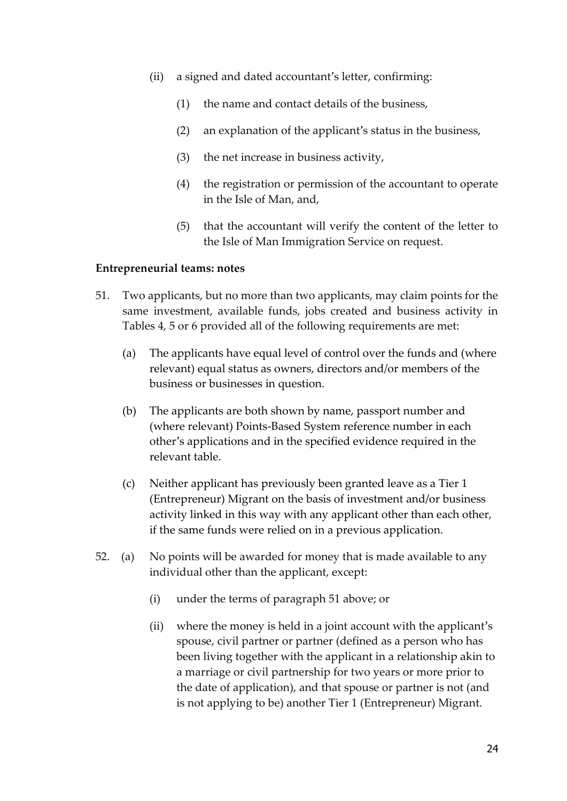- (ii) a signed and dated accountant's letter, confirming:
	- (1) the name and contact details of the business,
	- (2) an explanation of the applicant's status in the business,
	- (3) the net increase in business activity,
	- (4) the registration or permission of the accountant to operate in the Isle of Man, and,
	- (5) that the accountant will verify the content of the letter to the Isle of Man Immigration Service on request.

#### **Entrepreneurial teams: notes**

- 51. Two applicants, but no more than two applicants, may claim points for the same investment, available funds, jobs created and business activity in Tables 4, 5 or 6 provided all of the following requirements are met:
	- (a) The applicants have equal level of control over the funds and (where relevant) equal status as owners, directors and/or members of the business or businesses in question.
	- (b) The applicants are both shown by name, passport number and (where relevant) Points-Based System reference number in each other's applications and in the specified evidence required in the relevant table.
	- (c) Neither applicant has previously been granted leave as a Tier 1 (Entrepreneur) Migrant on the basis of investment and/or business activity linked in this way with any applicant other than each other, if the same funds were relied on in a previous application.
- 52. (a) No points will be awarded for money that is made available to any individual other than the applicant, except:
	- (i) under the terms of paragraph 51 above; or
	- (ii) where the money is held in a joint account with the applicant's spouse, civil partner or partner (defined as a person who has been living together with the applicant in a relationship akin to a marriage or civil partnership for two years or more prior to the date of application), and that spouse or partner is not (and is not applying to be) another Tier 1 (Entrepreneur) Migrant.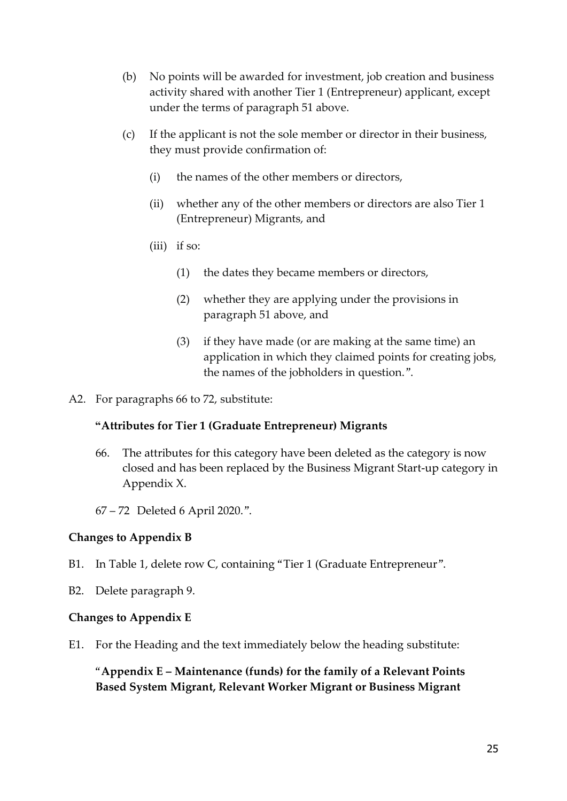- (b) No points will be awarded for investment, job creation and business activity shared with another Tier 1 (Entrepreneur) applicant, except under the terms of paragraph 51 above.
- (c) If the applicant is not the sole member or director in their business, they must provide confirmation of:
	- (i) the names of the other members or directors,
	- (ii) whether any of the other members or directors are also Tier 1 (Entrepreneur) Migrants, and
	- (iii) if so:
		- (1) the dates they became members or directors,
		- (2) whether they are applying under the provisions in paragraph 51 above, and
		- (3) if they have made (or are making at the same time) an application in which they claimed points for creating jobs, the names of the jobholders in question.".
- A2. For paragraphs 66 to 72, substitute:

#### **"Attributes for Tier 1 (Graduate Entrepreneur) Migrants**

- 66. The attributes for this category have been deleted as the category is now closed and has been replaced by the Business Migrant Start-up category in Appendix X.
- 67 72 Deleted 6 April 2020.".

#### **Changes to Appendix B**

- B1. In Table 1, delete row C, containing "Tier 1 (Graduate Entrepreneur".
- B2. Delete paragraph 9.

#### **Changes to Appendix E**

E1. For the Heading and the text immediately below the heading substitute:

"**Appendix E – Maintenance (funds) for the family of a Relevant Points Based System Migrant, Relevant Worker Migrant or Business Migrant**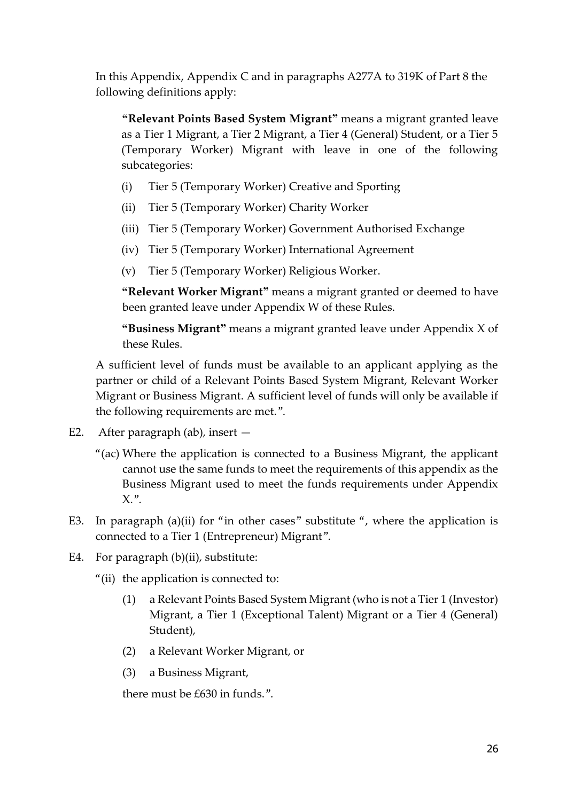In this Appendix, Appendix C and in paragraphs A277A to 319K of Part 8 the following definitions apply:

**"Relevant Points Based System Migrant"** means a migrant granted leave as a Tier 1 Migrant, a Tier 2 Migrant, a Tier 4 (General) Student, or a Tier 5 (Temporary Worker) Migrant with leave in one of the following subcategories:

- (i) Tier 5 (Temporary Worker) Creative and Sporting
- (ii) Tier 5 (Temporary Worker) Charity Worker
- (iii) Tier 5 (Temporary Worker) Government Authorised Exchange
- (iv) Tier 5 (Temporary Worker) International Agreement
- (v) Tier 5 (Temporary Worker) Religious Worker.

**"Relevant Worker Migrant"** means a migrant granted or deemed to have been granted leave under Appendix W of these Rules.

**"Business Migrant"** means a migrant granted leave under Appendix X of these Rules.

A sufficient level of funds must be available to an applicant applying as the partner or child of a Relevant Points Based System Migrant, Relevant Worker Migrant or Business Migrant. A sufficient level of funds will only be available if the following requirements are met.".

- E2. After paragraph (ab), insert
	- "(ac) Where the application is connected to a Business Migrant, the applicant cannot use the same funds to meet the requirements of this appendix as the Business Migrant used to meet the funds requirements under Appendix  $X$ .".
- E3. In paragraph (a)(ii) for "in other cases" substitute ", where the application is connected to a Tier 1 (Entrepreneur) Migrant".
- E4. For paragraph (b)(ii), substitute:
	- "(ii) the application is connected to:
		- (1) a Relevant Points Based System Migrant (who is not a Tier 1 (Investor) Migrant, a Tier 1 (Exceptional Talent) Migrant or a Tier 4 (General) Student),
		- (2) a Relevant Worker Migrant, or
		- (3) a Business Migrant,

there must be £630 in funds.".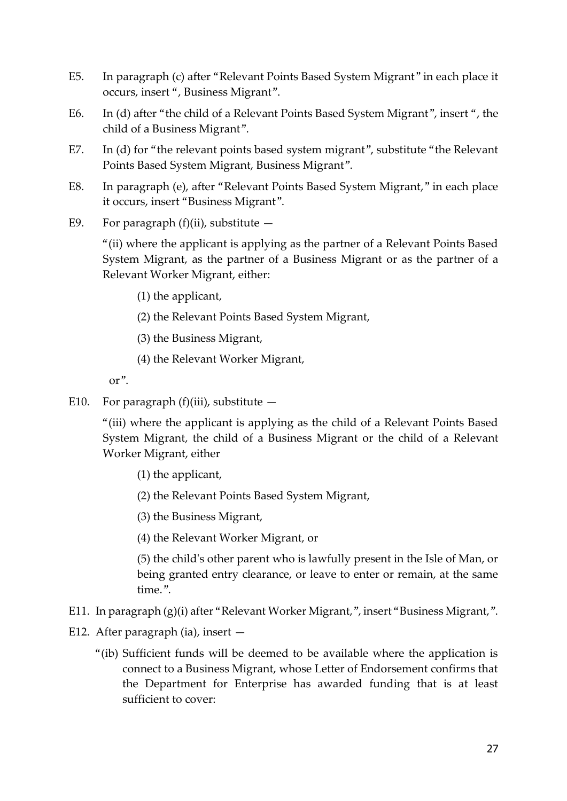- E5. In paragraph (c) after "Relevant Points Based System Migrant" in each place it occurs, insert ", Business Migrant".
- E6. In (d) after "the child of a Relevant Points Based System Migrant", insert ", the child of a Business Migrant".
- E7. In (d) for "the relevant points based system migrant", substitute "the Relevant Points Based System Migrant, Business Migrant".
- E8. In paragraph (e), after "Relevant Points Based System Migrant," in each place it occurs, insert "Business Migrant".
- E9. For paragraph  $(f)(ii)$ , substitute  $-$

"(ii) where the applicant is applying as the partner of a Relevant Points Based System Migrant, as the partner of a Business Migrant or as the partner of a Relevant Worker Migrant, either:

- (1) the applicant,
- (2) the Relevant Points Based System Migrant,
- (3) the Business Migrant,
- (4) the Relevant Worker Migrant,

or".

E10. For paragraph (f)(iii), substitute  $-$ 

"(iii) where the applicant is applying as the child of a Relevant Points Based System Migrant, the child of a Business Migrant or the child of a Relevant Worker Migrant, either

- (1) the applicant,
- (2) the Relevant Points Based System Migrant,
- (3) the Business Migrant,
- (4) the Relevant Worker Migrant, or

(5) the child's other parent who is lawfully present in the Isle of Man, or being granted entry clearance, or leave to enter or remain, at the same time.".

- E11. In paragraph (g)(i) after "Relevant Worker Migrant,", insert "Business Migrant,".
- E12. After paragraph (ia), insert  $-$ 
	- "(ib) Sufficient funds will be deemed to be available where the application is connect to a Business Migrant, whose Letter of Endorsement confirms that the Department for Enterprise has awarded funding that is at least sufficient to cover: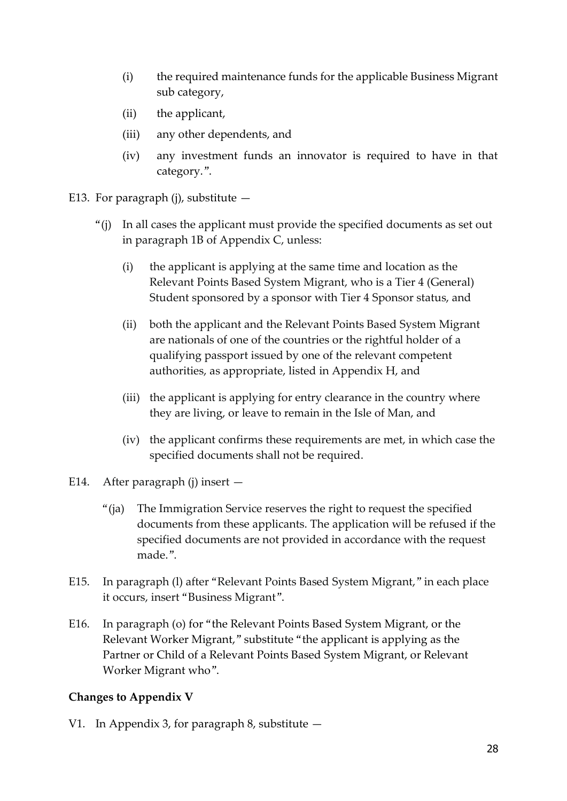- (i) the required maintenance funds for the applicable Business Migrant sub category,
- (ii) the applicant,
- (iii) any other dependents, and
- (iv) any investment funds an innovator is required to have in that category.".
- E13. For paragraph (j), substitute  $-$ 
	- "(j) In all cases the applicant must provide the specified documents as set out in paragraph 1B of Appendix C, unless:
		- (i) the applicant is applying at the same time and location as the Relevant Points Based System Migrant, who is a Tier 4 (General) Student sponsored by a sponsor with Tier 4 Sponsor status, and
		- (ii) both the applicant and the Relevant Points Based System Migrant are nationals of one of the countries or the rightful holder of a qualifying passport issued by one of the relevant competent authorities, as appropriate, listed in Appendix H, and
		- (iii) the applicant is applying for entry clearance in the country where they are living, or leave to remain in the Isle of Man, and
		- (iv) the applicant confirms these requirements are met, in which case the specified documents shall not be required.
- E14. After paragraph (j) insert
	- "(ja) The Immigration Service reserves the right to request the specified documents from these applicants. The application will be refused if the specified documents are not provided in accordance with the request made.".
- E15. In paragraph (l) after "Relevant Points Based System Migrant," in each place it occurs, insert "Business Migrant".
- E16. In paragraph (o) for "the Relevant Points Based System Migrant, or the Relevant Worker Migrant," substitute "the applicant is applying as the Partner or Child of a Relevant Points Based System Migrant, or Relevant Worker Migrant who".

# **Changes to Appendix V**

V1. In Appendix 3, for paragraph 8, substitute —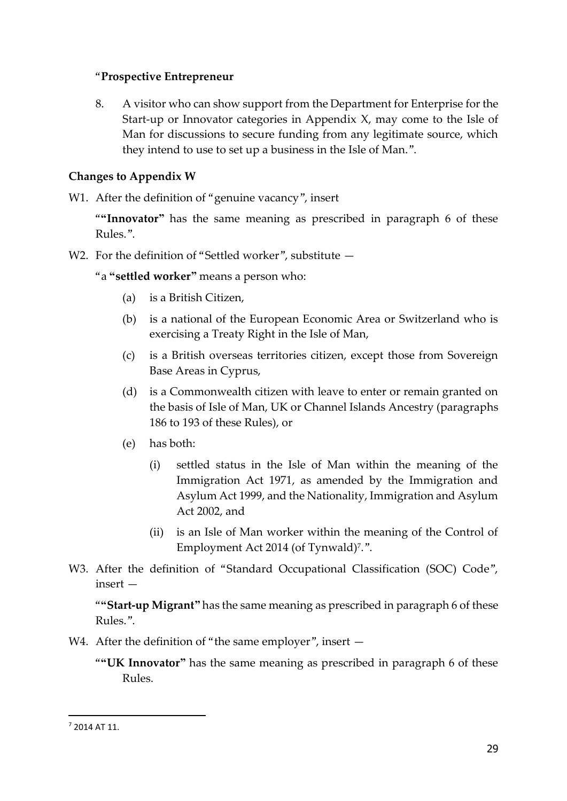#### "**Prospective Entrepreneur**

8. A visitor who can show support from the Department for Enterprise for the Start-up or Innovator categories in Appendix X, may come to the Isle of Man for discussions to secure funding from any legitimate source, which they intend to use to set up a business in the Isle of Man.".

## **Changes to Appendix W**

W1. After the definition of "genuine vacancy", insert

"**"Innovator"** has the same meaning as prescribed in paragraph 6 of these Rules.".

W2. For the definition of "Settled worker", substitute  $-$ 

"a **"settled worker"** means a person who:

- (a) is a British Citizen,
- (b) is a national of the European Economic Area or Switzerland who is exercising a Treaty Right in the Isle of Man,
- (c) is a British overseas territories citizen, except those from Sovereign Base Areas in Cyprus,
- (d) is a Commonwealth citizen with leave to enter or remain granted on the basis of Isle of Man, UK or Channel Islands Ancestry (paragraphs 186 to 193 of these Rules), or
- (e) has both:
	- (i) settled status in the Isle of Man within the meaning of the Immigration Act 1971, as amended by the Immigration and Asylum Act 1999, and the Nationality, Immigration and Asylum Act 2002, and
	- (ii) is an Isle of Man worker within the meaning of the Control of Employment Act 2014 (of Tynwald)<sup>7</sup> .".
- W3. After the definition of "Standard Occupational Classification (SOC) Code", insert —

"**"Start-up Migrant"** has the same meaning as prescribed in paragraph 6 of these Rules.".

- W4. After the definition of "the same employer", insert  $-$ 
	- "**"UK Innovator"** has the same meaning as prescribed in paragraph 6 of these Rules.

-

<sup>7</sup> 2014 AT 11.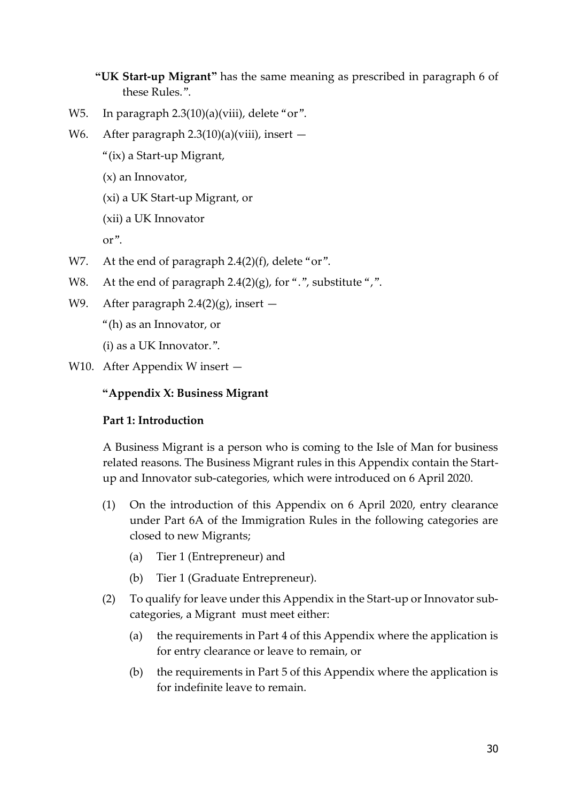- **"UK Start-up Migrant"** has the same meaning as prescribed in paragraph 6 of these Rules.".
- W5. In paragraph 2.3(10)(a)(viii), delete "or".
- W6. After paragraph 2.3(10)(a)(viii), insert -
	- "(ix) a Start-up Migrant,
	- (x) an Innovator,
	- (xi) a UK Start-up Migrant, or
	- (xii) a UK Innovator

or".

- W7. At the end of paragraph 2.4(2)(f), delete "or".
- W8. At the end of paragraph 2.4(2)(g), for ".", substitute ",".
- W9. After paragraph  $2.4(2)(g)$ , insert  $-$ 
	- "(h) as an Innovator, or

(i) as a UK Innovator.".

W10. After Appendix W insert —

#### **"Appendix X: Business Migrant**

#### **Part 1: Introduction**

A Business Migrant is a person who is coming to the Isle of Man for business related reasons. The Business Migrant rules in this Appendix contain the Startup and Innovator sub-categories, which were introduced on 6 April 2020.

- (1) On the introduction of this Appendix on 6 April 2020, entry clearance under Part 6A of the Immigration Rules in the following categories are closed to new Migrants;
	- (a) Tier 1 (Entrepreneur) and
	- (b) Tier 1 (Graduate Entrepreneur).
- (2) To qualify for leave under this Appendix in the Start-up or Innovator subcategories, a Migrant must meet either:
	- (a) the requirements in Part 4 of this Appendix where the application is for entry clearance or leave to remain, or
	- (b) the requirements in Part 5 of this Appendix where the application is for indefinite leave to remain.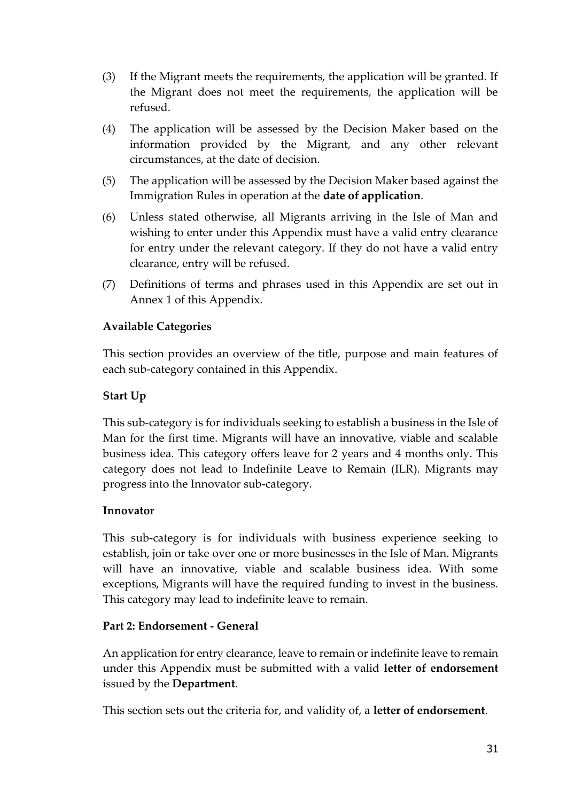- (3) If the Migrant meets the requirements, the application will be granted. If the Migrant does not meet the requirements, the application will be refused.
- (4) The application will be assessed by the Decision Maker based on the information provided by the Migrant, and any other relevant circumstances, at the date of decision.
- (5) The application will be assessed by the Decision Maker based against the Immigration Rules in operation at the **date of application**.
- (6) Unless stated otherwise, all Migrants arriving in the Isle of Man and wishing to enter under this Appendix must have a valid entry clearance for entry under the relevant category. If they do not have a valid entry clearance, entry will be refused.
- (7) Definitions of terms and phrases used in this Appendix are set out in Annex 1 of this Appendix.

# **Available Categories**

This section provides an overview of the title, purpose and main features of each sub-category contained in this Appendix.

# **Start Up**

This sub-category is for individuals seeking to establish a business in the Isle of Man for the first time. Migrants will have an innovative, viable and scalable business idea. This category offers leave for 2 years and 4 months only. This category does not lead to Indefinite Leave to Remain (ILR). Migrants may progress into the Innovator sub-category.

## **Innovator**

This sub-category is for individuals with business experience seeking to establish, join or take over one or more businesses in the Isle of Man. Migrants will have an innovative, viable and scalable business idea. With some exceptions, Migrants will have the required funding to invest in the business. This category may lead to indefinite leave to remain.

## **Part 2: Endorsement - General**

An application for entry clearance, leave to remain or indefinite leave to remain under this Appendix must be submitted with a valid **letter of endorsement** issued by the **Department**.

This section sets out the criteria for, and validity of, a **letter of endorsement**.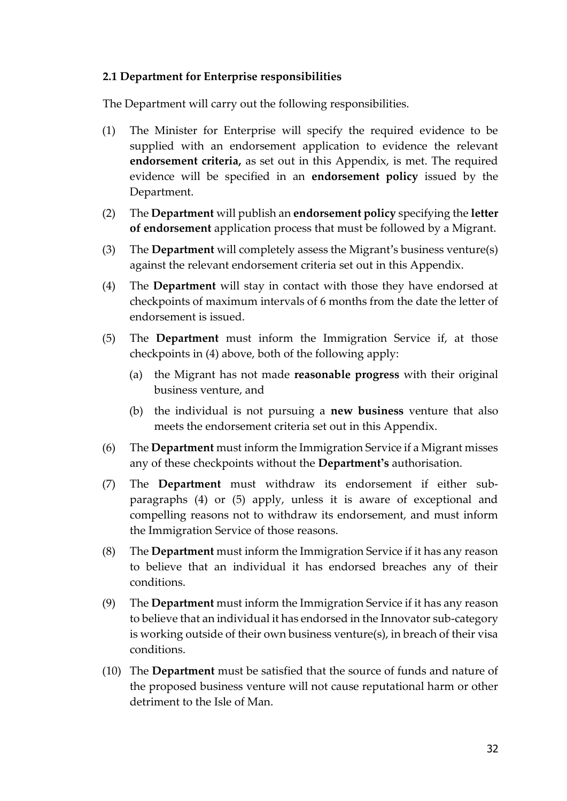#### **2.1 Department for Enterprise responsibilities**

The Department will carry out the following responsibilities.

- (1) The Minister for Enterprise will specify the required evidence to be supplied with an endorsement application to evidence the relevant **endorsement criteria,** as set out in this Appendix, is met. The required evidence will be specified in an **endorsement policy** issued by the Department.
- (2) The **Department** will publish an **endorsement policy** specifying the **letter of endorsement** application process that must be followed by a Migrant.
- (3) The **Department** will completely assess the Migrant's business venture(s) against the relevant endorsement criteria set out in this Appendix.
- (4) The **Department** will stay in contact with those they have endorsed at checkpoints of maximum intervals of 6 months from the date the letter of endorsement is issued.
- (5) The **Department** must inform the Immigration Service if, at those checkpoints in (4) above, both of the following apply:
	- (a) the Migrant has not made **reasonable progress** with their original business venture, and
	- (b) the individual is not pursuing a **new business** venture that also meets the endorsement criteria set out in this Appendix.
- (6) The **Department** must inform the Immigration Service if a Migrant misses any of these checkpoints without the **Department's** authorisation.
- (7) The **Department** must withdraw its endorsement if either subparagraphs (4) or (5) apply, unless it is aware of exceptional and compelling reasons not to withdraw its endorsement, and must inform the Immigration Service of those reasons.
- (8) The **Department** must inform the Immigration Service if it has any reason to believe that an individual it has endorsed breaches any of their conditions.
- (9) The **Department** must inform the Immigration Service if it has any reason to believe that an individual it has endorsed in the Innovator sub-category is working outside of their own business venture(s), in breach of their visa conditions.
- (10) The **Department** must be satisfied that the source of funds and nature of the proposed business venture will not cause reputational harm or other detriment to the Isle of Man.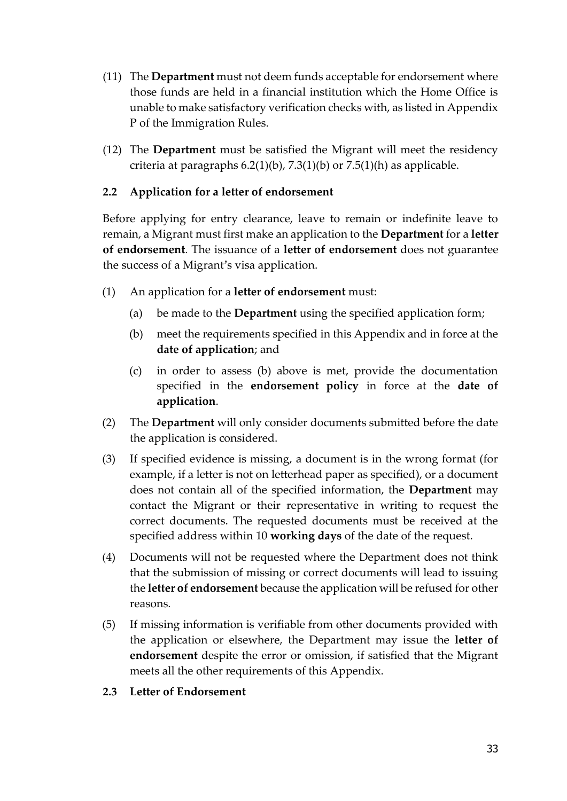- (11) The **Department** must not deem funds acceptable for endorsement where those funds are held in a financial institution which the Home Office is unable to make satisfactory verification checks with, as listed in Appendix P of the Immigration Rules.
- (12) The **Department** must be satisfied the Migrant will meet the residency criteria at paragraphs  $6.2(1)(b)$ ,  $7.3(1)(b)$  or  $7.5(1)(h)$  as applicable.

## **2.2 Application for a letter of endorsement**

Before applying for entry clearance, leave to remain or indefinite leave to remain, a Migrant must first make an application to the **Department** for a **letter of endorsement**. The issuance of a **letter of endorsement** does not guarantee the success of a Migrant's visa application.

- (1) An application for a **letter of endorsement** must:
	- (a) be made to the **Department** using the specified application form;
	- (b) meet the requirements specified in this Appendix and in force at the **date of application**; and
	- (c) in order to assess (b) above is met, provide the documentation specified in the **endorsement policy** in force at the **date of application**.
- (2) The **Department** will only consider documents submitted before the date the application is considered.
- (3) If specified evidence is missing, a document is in the wrong format (for example, if a letter is not on letterhead paper as specified), or a document does not contain all of the specified information, the **Department** may contact the Migrant or their representative in writing to request the correct documents. The requested documents must be received at the specified address within 10 **working days** of the date of the request.
- (4) Documents will not be requested where the Department does not think that the submission of missing or correct documents will lead to issuing the **letter of endorsement** because the application will be refused for other reasons.
- (5) If missing information is verifiable from other documents provided with the application or elsewhere, the Department may issue the **letter of endorsement** despite the error or omission, if satisfied that the Migrant meets all the other requirements of this Appendix.

## **2.3 Letter of Endorsement**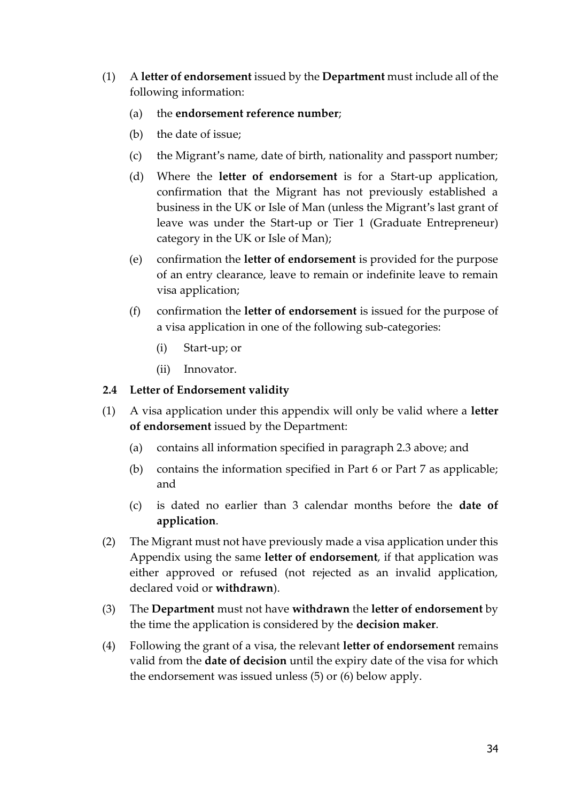- (1) A **letter of endorsement** issued by the **Department** must include all of the following information:
	- (a) the **endorsement reference number**;
	- (b) the date of issue;
	- (c) the Migrant's name, date of birth, nationality and passport number;
	- (d) Where the **letter of endorsement** is for a Start-up application, confirmation that the Migrant has not previously established a business in the UK or Isle of Man (unless the Migrant's last grant of leave was under the Start-up or Tier 1 (Graduate Entrepreneur) category in the UK or Isle of Man);
	- (e) confirmation the **letter of endorsement** is provided for the purpose of an entry clearance, leave to remain or indefinite leave to remain visa application;
	- (f) confirmation the **letter of endorsement** is issued for the purpose of a visa application in one of the following sub-categories:
		- (i) Start-up; or
		- (ii) Innovator.

#### **2.4 Letter of Endorsement validity**

- (1) A visa application under this appendix will only be valid where a **letter of endorsement** issued by the Department:
	- (a) contains all information specified in paragraph 2.3 above; and
	- (b) contains the information specified in Part 6 or Part 7 as applicable; and
	- (c) is dated no earlier than 3 calendar months before the **date of application**.
- (2) The Migrant must not have previously made a visa application under this Appendix using the same **letter of endorsement**, if that application was either approved or refused (not rejected as an invalid application, declared void or **withdrawn**).
- (3) The **Department** must not have **withdrawn** the **letter of endorsement** by the time the application is considered by the **decision maker**.
- (4) Following the grant of a visa, the relevant **letter of endorsement** remains valid from the **date of decision** until the expiry date of the visa for which the endorsement was issued unless (5) or (6) below apply.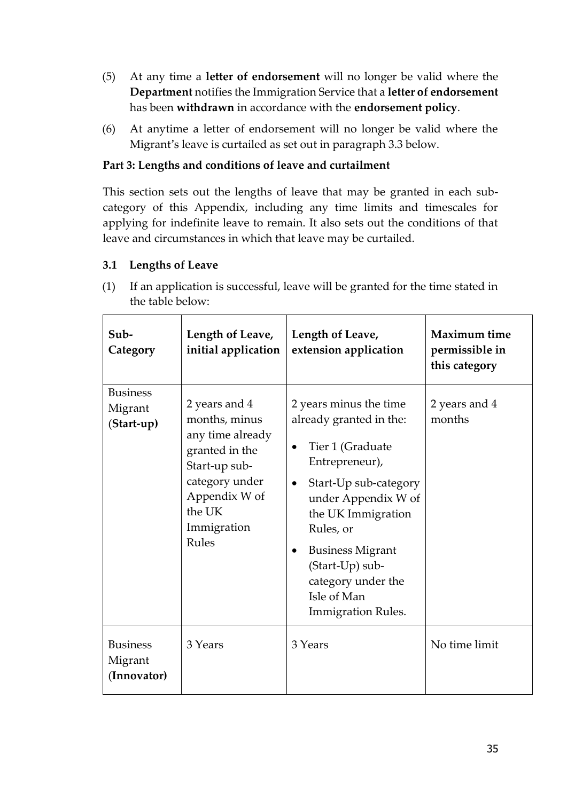- (5) At any time a **letter of endorsement** will no longer be valid where the **Department** notifies the Immigration Service that a **letter of endorsement**  has been **withdrawn** in accordance with the **endorsement policy**.
- (6) At anytime a letter of endorsement will no longer be valid where the Migrant's leave is curtailed as set out in paragraph 3.3 below.

# **Part 3: Lengths and conditions of leave and curtailment**

This section sets out the lengths of leave that may be granted in each subcategory of this Appendix, including any time limits and timescales for applying for indefinite leave to remain. It also sets out the conditions of that leave and circumstances in which that leave may be curtailed.

## **3.1 Lengths of Leave**

(1) If an application is successful, leave will be granted for the time stated in the table below:

| Sub-<br>Category                          | Length of Leave,<br>initial application                                                                                                                    | Length of Leave,<br>extension application                                                                                                                                                                                                                                                                                         | Maximum time<br>permissible in<br>this category |
|-------------------------------------------|------------------------------------------------------------------------------------------------------------------------------------------------------------|-----------------------------------------------------------------------------------------------------------------------------------------------------------------------------------------------------------------------------------------------------------------------------------------------------------------------------------|-------------------------------------------------|
| <b>Business</b><br>Migrant<br>(Start-up)  | 2 years and 4<br>months, minus<br>any time already<br>granted in the<br>Start-up sub-<br>category under<br>Appendix W of<br>the UK<br>Immigration<br>Rules | 2 years minus the time<br>already granted in the:<br>Tier 1 (Graduate<br>$\bullet$<br>Entrepreneur),<br>Start-Up sub-category<br>$\bullet$<br>under Appendix W of<br>the UK Immigration<br>Rules, or<br><b>Business Migrant</b><br>$\bullet$<br>(Start-Up) sub-<br>category under the<br>Isle of Man<br><b>Immigration Rules.</b> | 2 years and 4<br>months                         |
| <b>Business</b><br>Migrant<br>(Innovator) | 3 Years                                                                                                                                                    | 3 Years                                                                                                                                                                                                                                                                                                                           | No time limit                                   |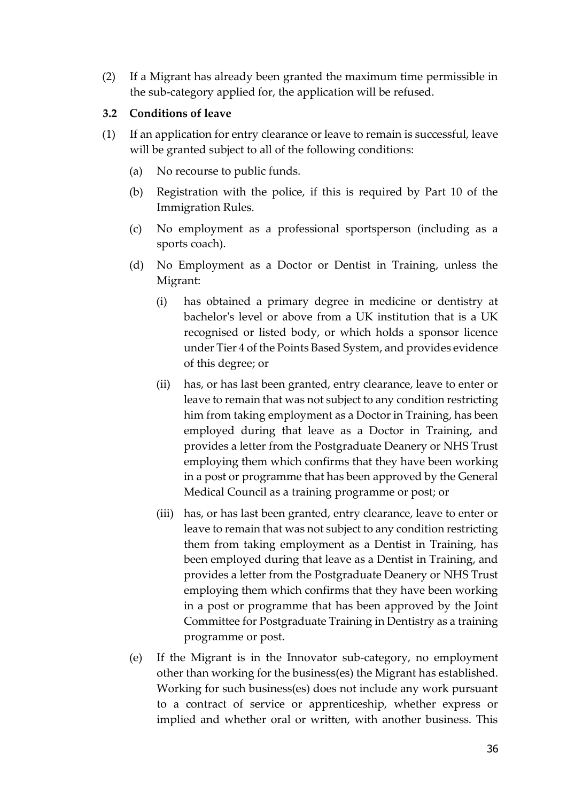(2) If a Migrant has already been granted the maximum time permissible in the sub-category applied for, the application will be refused.

#### **3.2 Conditions of leave**

- (1) If an application for entry clearance or leave to remain is successful, leave will be granted subject to all of the following conditions:
	- (a) No recourse to public funds.
	- (b) Registration with the police, if this is required by Part 10 of the Immigration Rules.
	- (c) No employment as a professional sportsperson (including as a sports coach).
	- (d) No Employment as a Doctor or Dentist in Training, unless the Migrant:
		- (i) has obtained a primary degree in medicine or dentistry at bachelor's level or above from a UK institution that is a UK recognised or listed body, or which holds a sponsor licence under Tier 4 of the Points Based System, and provides evidence of this degree; or
		- (ii) has, or has last been granted, entry clearance, leave to enter or leave to remain that was not subject to any condition restricting him from taking employment as a Doctor in Training, has been employed during that leave as a Doctor in Training, and provides a letter from the Postgraduate Deanery or NHS Trust employing them which confirms that they have been working in a post or programme that has been approved by the General Medical Council as a training programme or post; or
		- (iii) has, or has last been granted, entry clearance, leave to enter or leave to remain that was not subject to any condition restricting them from taking employment as a Dentist in Training, has been employed during that leave as a Dentist in Training, and provides a letter from the Postgraduate Deanery or NHS Trust employing them which confirms that they have been working in a post or programme that has been approved by the Joint Committee for Postgraduate Training in Dentistry as a training programme or post.
	- (e) If the Migrant is in the Innovator sub-category, no employment other than working for the business(es) the Migrant has established. Working for such business(es) does not include any work pursuant to a contract of service or apprenticeship, whether express or implied and whether oral or written, with another business. This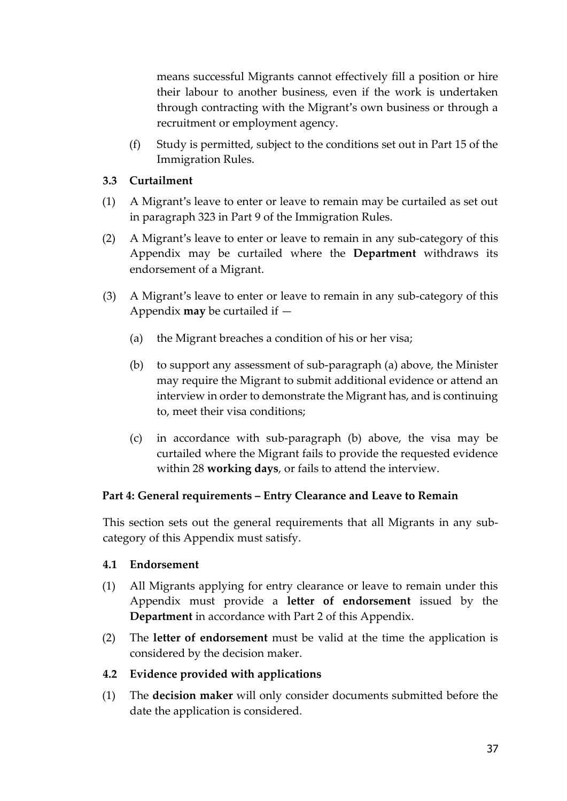means successful Migrants cannot effectively fill a position or hire their labour to another business, even if the work is undertaken through contracting with the Migrant's own business or through a recruitment or employment agency.

(f) Study is permitted, subject to the conditions set out in Part 15 of the Immigration Rules.

#### **3.3 Curtailment**

- (1) A Migrant's leave to enter or leave to remain may be curtailed as set out in paragraph 323 in Part 9 of the Immigration Rules.
- (2) A Migrant's leave to enter or leave to remain in any sub-category of this Appendix may be curtailed where the **Department** withdraws its endorsement of a Migrant.
- (3) A Migrant's leave to enter or leave to remain in any sub-category of this Appendix **may** be curtailed if —
	- (a) the Migrant breaches a condition of his or her visa;
	- (b) to support any assessment of sub-paragraph (a) above, the Minister may require the Migrant to submit additional evidence or attend an interview in order to demonstrate the Migrant has, and is continuing to, meet their visa conditions;
	- (c) in accordance with sub-paragraph (b) above, the visa may be curtailed where the Migrant fails to provide the requested evidence within 28 **working days**, or fails to attend the interview.

## **Part 4: General requirements – Entry Clearance and Leave to Remain**

This section sets out the general requirements that all Migrants in any subcategory of this Appendix must satisfy.

#### **4.1 Endorsement**

- (1) All Migrants applying for entry clearance or leave to remain under this Appendix must provide a **letter of endorsement** issued by the **Department** in accordance with Part 2 of this Appendix.
- (2) The **letter of endorsement** must be valid at the time the application is considered by the decision maker.

## **4.2 Evidence provided with applications**

(1) The **decision maker** will only consider documents submitted before the date the application is considered.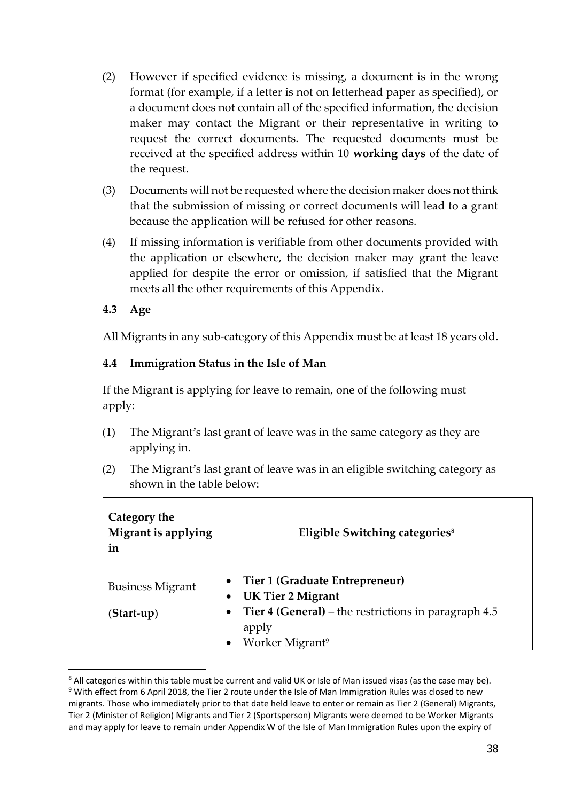- (2) However if specified evidence is missing, a document is in the wrong format (for example, if a letter is not on letterhead paper as specified), or a document does not contain all of the specified information, the decision maker may contact the Migrant or their representative in writing to request the correct documents. The requested documents must be received at the specified address within 10 **working days** of the date of the request.
- (3) Documents will not be requested where the decision maker does not think that the submission of missing or correct documents will lead to a grant because the application will be refused for other reasons.
- (4) If missing information is verifiable from other documents provided with the application or elsewhere, the decision maker may grant the leave applied for despite the error or omission, if satisfied that the Migrant meets all the other requirements of this Appendix.

## **4.3 Age**

-

All Migrants in any sub-category of this Appendix must be at least 18 years old.

#### **4.4 Immigration Status in the Isle of Man**

If the Migrant is applying for leave to remain, one of the following must apply:

- (1) The Migrant's last grant of leave was in the same category as they are applying in.
- (2) The Migrant's last grant of leave was in an eligible switching category as shown in the table below:

| Category the<br>Migrant is applying<br>in | Eligible Switching categories <sup>8</sup>                    |
|-------------------------------------------|---------------------------------------------------------------|
| <b>Business Migrant</b>                   | Tier 1 (Graduate Entrepreneur)<br><b>UK Tier 2 Migrant</b>    |
| (Start-up)                                | Tier 4 (General) – the restrictions in paragraph 4.5<br>apply |
|                                           | Worker Migrant <sup>9</sup>                                   |

<sup>&</sup>lt;sup>8</sup> All categories within this table must be current and valid UK or Isle of Man issued visas (as the case may be).

<sup>&</sup>lt;sup>9</sup> With effect from 6 April 2018, the Tier 2 route under the Isle of Man Immigration Rules was closed to new migrants. Those who immediately prior to that date held leave to enter or remain as Tier 2 (General) Migrants, Tier 2 (Minister of Religion) Migrants and Tier 2 (Sportsperson) Migrants were deemed to be Worker Migrants and may apply for leave to remain under Appendix W of the Isle of Man Immigration Rules upon the expiry of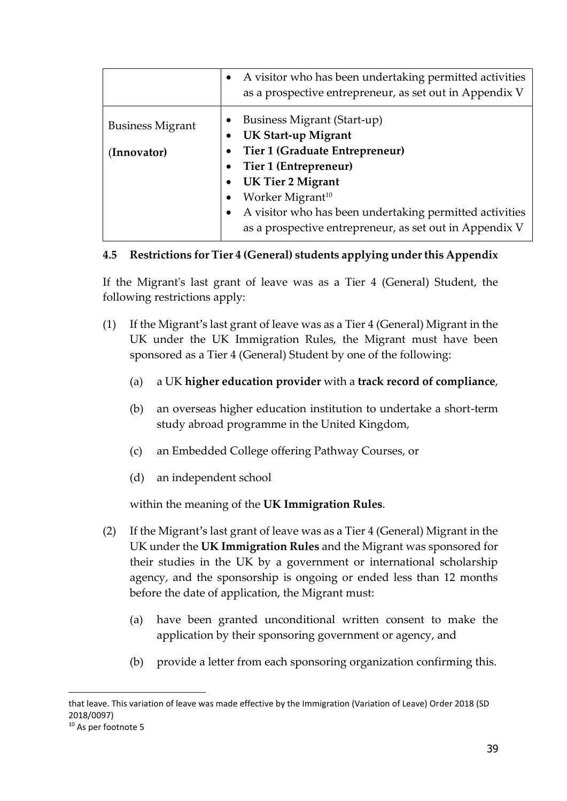|                                        | A visitor who has been undertaking permitted activities<br>as a prospective entrepreneur, as set out in Appendix V                                                                                                                                                                              |
|----------------------------------------|-------------------------------------------------------------------------------------------------------------------------------------------------------------------------------------------------------------------------------------------------------------------------------------------------|
| <b>Business Migrant</b><br>(Innovator) | Business Migrant (Start-up)<br>UK Start-up Migrant<br>Tier 1 (Graduate Entrepreneur)<br>Tier 1 (Entrepreneur)<br><b>UK Tier 2 Migrant</b><br>Worker Migrant <sup>10</sup><br>A visitor who has been undertaking permitted activities<br>as a prospective entrepreneur, as set out in Appendix V |

## **4.5 Restrictions for Tier 4 (General) students applying under this Appendix**

If the Migrant's last grant of leave was as a Tier 4 (General) Student, the following restrictions apply:

- (1) If the Migrant's last grant of leave was as a Tier 4 (General) Migrant in the UK under the UK Immigration Rules, the Migrant must have been sponsored as a Tier 4 (General) Student by one of the following:
	- (a) a UK **higher education provider** with a **track record of compliance**,
	- (b) an overseas higher education institution to undertake a short-term study abroad programme in the United Kingdom,
	- (c) an Embedded College offering Pathway Courses, or
	- (d) an independent school

within the meaning of the **UK Immigration Rules**.

- (2) If the Migrant's last grant of leave was as a Tier 4 (General) Migrant in the UK under the **UK Immigration Rules** and the Migrant was sponsored for their studies in the UK by a government or international scholarship agency, and the sponsorship is ongoing or ended less than 12 months before the date of application, the Migrant must:
	- (a) have been granted unconditional written consent to make the application by their sponsoring government or agency, and
	- (b) provide a letter from each sponsoring organization confirming this.

-

that leave. This variation of leave was made effective by the Immigration (Variation of Leave) Order 2018 (SD 2018/0097)

<sup>10</sup> As per footnote 5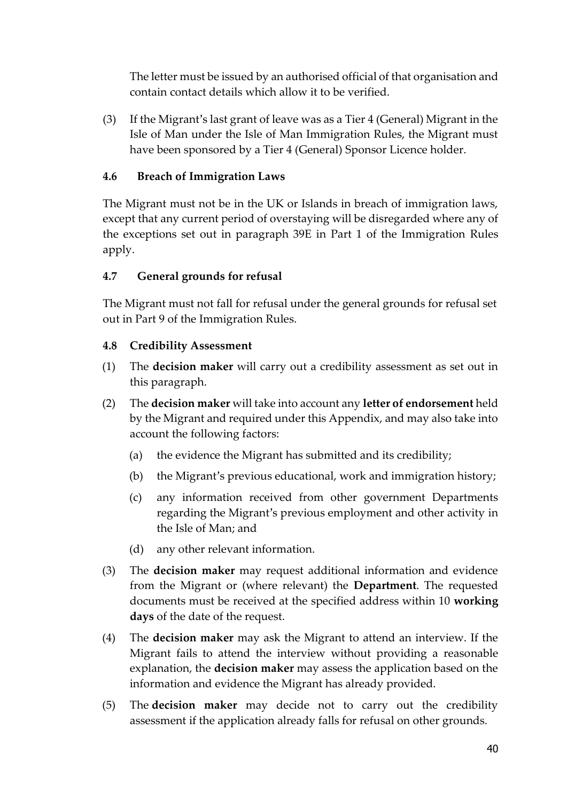The letter must be issued by an authorised official of that organisation and contain contact details which allow it to be verified.

(3) If the Migrant's last grant of leave was as a Tier 4 (General) Migrant in the Isle of Man under the Isle of Man Immigration Rules, the Migrant must have been sponsored by a Tier 4 (General) Sponsor Licence holder.

# **4.6 Breach of Immigration Laws**

The Migrant must not be in the UK or Islands in breach of immigration laws, except that any current period of overstaying will be disregarded where any of the exceptions set out in paragraph 39E in Part 1 of the Immigration Rules apply.

# **4.7 General grounds for refusal**

The Migrant must not fall for refusal under the general grounds for refusal set out in Part 9 of the Immigration Rules.

## **4.8 Credibility Assessment**

- (1) The **decision maker** will carry out a credibility assessment as set out in this paragraph.
- (2) The **decision maker** will take into account any **letter of endorsement** held by the Migrant and required under this Appendix, and may also take into account the following factors:
	- (a) the evidence the Migrant has submitted and its credibility;
	- (b) the Migrant's previous educational, work and immigration history;
	- (c) any information received from other government Departments regarding the Migrant's previous employment and other activity in the Isle of Man; and
	- (d) any other relevant information.
- (3) The **decision maker** may request additional information and evidence from the Migrant or (where relevant) the **Department**. The requested documents must be received at the specified address within 10 **working days** of the date of the request.
- (4) The **decision maker** may ask the Migrant to attend an interview. If the Migrant fails to attend the interview without providing a reasonable explanation, the **decision maker** may assess the application based on the information and evidence the Migrant has already provided.
- (5) The **decision maker** may decide not to carry out the credibility assessment if the application already falls for refusal on other grounds.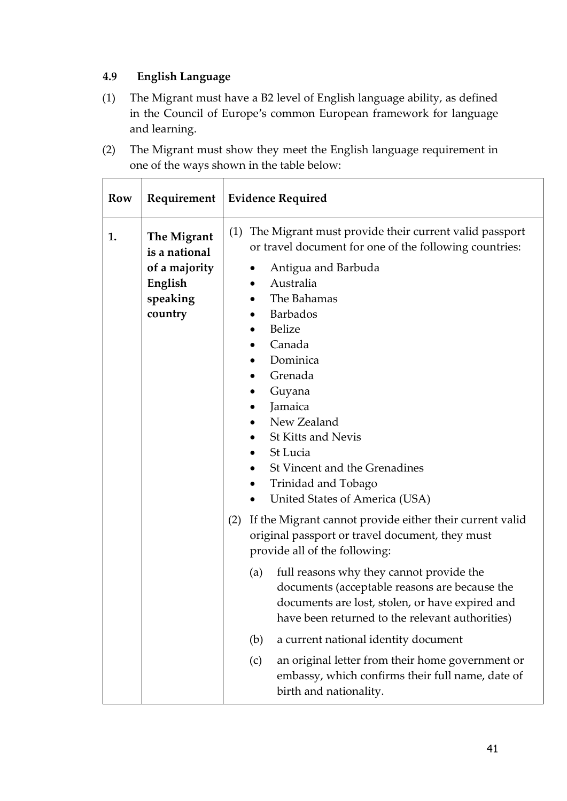# **4.9 English Language**

- (1) The Migrant must have a B2 level of English language ability, as defined in the Council of Europe's common European framework for language and learning.
- (2) The Migrant must show they meet the English language requirement in one of the ways shown in the table below:

| Row | Requirement                                                                     | <b>Evidence Required</b>                                                                                                                                                                                                                                                                                                                                                                                    |
|-----|---------------------------------------------------------------------------------|-------------------------------------------------------------------------------------------------------------------------------------------------------------------------------------------------------------------------------------------------------------------------------------------------------------------------------------------------------------------------------------------------------------|
| 1.  | The Migrant<br>is a national<br>of a majority<br>English<br>speaking<br>country | (1) The Migrant must provide their current valid passport<br>or travel document for one of the following countries:<br>Antigua and Barbuda<br>Australia<br>The Bahamas<br>Barbados<br><b>Belize</b><br>Canada<br>Dominica<br>Grenada<br>Guyana<br>Jamaica<br>New Zealand<br><b>St Kitts and Nevis</b><br>St Lucia<br>St Vincent and the Grenadines<br>Trinidad and Tobago<br>United States of America (USA) |
|     |                                                                                 | If the Migrant cannot provide either their current valid<br>(2)<br>original passport or travel document, they must<br>provide all of the following:                                                                                                                                                                                                                                                         |
|     |                                                                                 | full reasons why they cannot provide the<br>(a)<br>documents (acceptable reasons are because the<br>documents are lost, stolen, or have expired and<br>have been returned to the relevant authorities)                                                                                                                                                                                                      |
|     |                                                                                 | a current national identity document<br>(b)                                                                                                                                                                                                                                                                                                                                                                 |
|     |                                                                                 | an original letter from their home government or<br>(c)<br>embassy, which confirms their full name, date of<br>birth and nationality.                                                                                                                                                                                                                                                                       |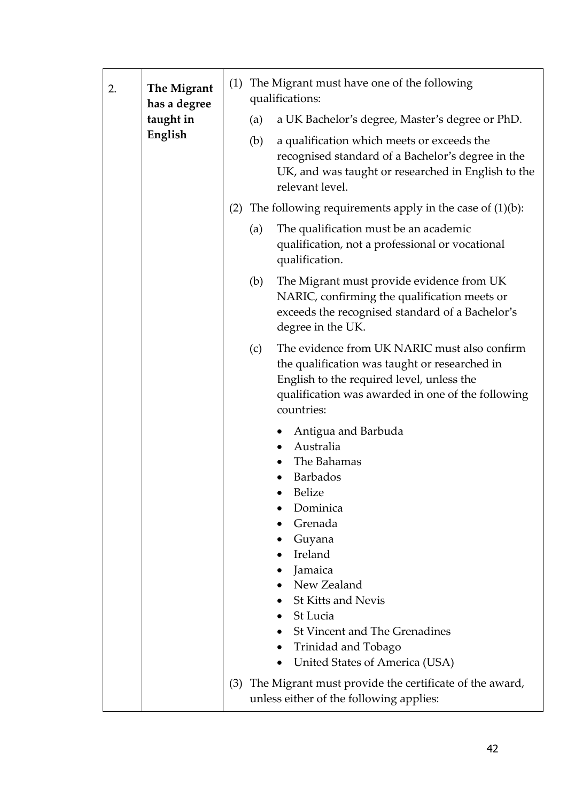| 2. | The Migrant<br>has a degree<br>taught in<br>English |     | (1) The Migrant must have one of the following<br>qualifications:                                                                                                                                                                                                                                         |  |
|----|-----------------------------------------------------|-----|-----------------------------------------------------------------------------------------------------------------------------------------------------------------------------------------------------------------------------------------------------------------------------------------------------------|--|
|    |                                                     |     | a UK Bachelor's degree, Master's degree or PhD.<br>(a)                                                                                                                                                                                                                                                    |  |
|    |                                                     |     | a qualification which meets or exceeds the<br>(b)<br>recognised standard of a Bachelor's degree in the<br>UK, and was taught or researched in English to the<br>relevant level.                                                                                                                           |  |
|    |                                                     | (2) | The following requirements apply in the case of $(1)(b)$ :                                                                                                                                                                                                                                                |  |
|    |                                                     |     | The qualification must be an academic<br>(a)<br>qualification, not a professional or vocational<br>qualification.                                                                                                                                                                                         |  |
|    |                                                     |     | (b)<br>The Migrant must provide evidence from UK<br>NARIC, confirming the qualification meets or<br>exceeds the recognised standard of a Bachelor's<br>degree in the UK.                                                                                                                                  |  |
|    |                                                     |     | The evidence from UK NARIC must also confirm<br>(c)<br>the qualification was taught or researched in<br>English to the required level, unless the<br>qualification was awarded in one of the following<br>countries:                                                                                      |  |
|    |                                                     |     | Antigua and Barbuda<br>Australia<br>The Bahamas<br><b>Barbados</b><br><b>Belize</b><br>Dominica<br>Grenada<br>Guyana<br>Ireland<br>Jamaica<br>New Zealand<br><b>St Kitts and Nevis</b><br>St Lucia<br>St Vincent and The Grenadines<br>Trinidad and Tobago<br>United States of America (USA)<br>$\bullet$ |  |
|    |                                                     | (3) | The Migrant must provide the certificate of the award,<br>unless either of the following applies:                                                                                                                                                                                                         |  |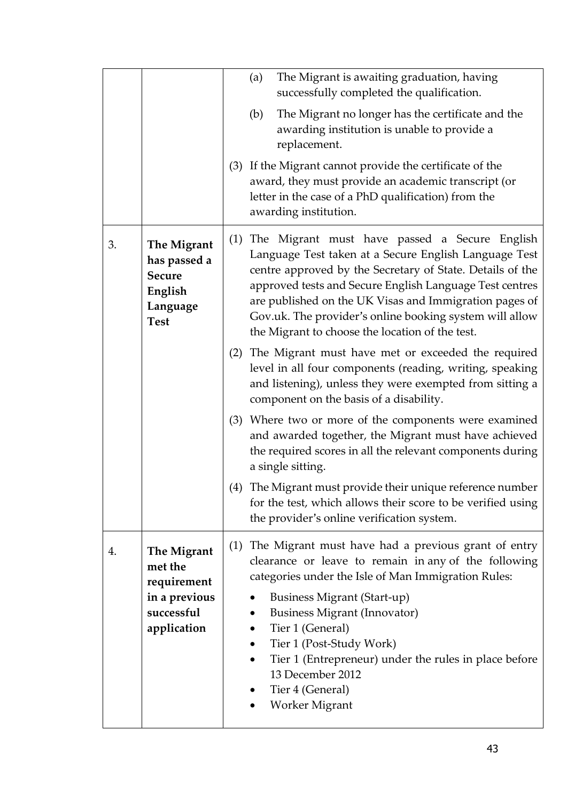|    |                                                                                     |     | The Migrant is awaiting graduation, having<br>(a)<br>successfully completed the qualification.<br>The Migrant no longer has the certificate and the<br>(b)<br>awarding institution is unable to provide a<br>replacement.<br>(3) If the Migrant cannot provide the certificate of the<br>award, they must provide an academic transcript (or<br>letter in the case of a PhD qualification) from the<br>awarding institution. |
|----|-------------------------------------------------------------------------------------|-----|------------------------------------------------------------------------------------------------------------------------------------------------------------------------------------------------------------------------------------------------------------------------------------------------------------------------------------------------------------------------------------------------------------------------------|
| 3. | The Migrant<br>has passed a<br><b>Secure</b><br>English<br>Language<br><b>Test</b>  |     | (1) The Migrant must have passed a Secure English<br>Language Test taken at a Secure English Language Test<br>centre approved by the Secretary of State. Details of the<br>approved tests and Secure English Language Test centres<br>are published on the UK Visas and Immigration pages of<br>Gov.uk. The provider's online booking system will allow<br>the Migrant to choose the location of the test.                   |
|    |                                                                                     |     | (2) The Migrant must have met or exceeded the required<br>level in all four components (reading, writing, speaking<br>and listening), unless they were exempted from sitting a<br>component on the basis of a disability.                                                                                                                                                                                                    |
|    |                                                                                     |     | (3) Where two or more of the components were examined<br>and awarded together, the Migrant must have achieved<br>the required scores in all the relevant components during<br>a single sitting.                                                                                                                                                                                                                              |
|    |                                                                                     | (4) | The Migrant must provide their unique reference number<br>for the test, which allows their score to be verified using<br>the provider's online verification system.                                                                                                                                                                                                                                                          |
| 4. | The Migrant<br>met the<br>requirement<br>in a previous<br>successful<br>application |     | (1) The Migrant must have had a previous grant of entry<br>clearance or leave to remain in any of the following<br>categories under the Isle of Man Immigration Rules:<br><b>Business Migrant (Start-up)</b><br><b>Business Migrant (Innovator)</b><br>Tier 1 (General)<br>Tier 1 (Post-Study Work)<br>Tier 1 (Entrepreneur) under the rules in place before<br>13 December 2012<br>Tier 4 (General)<br>Worker Migrant       |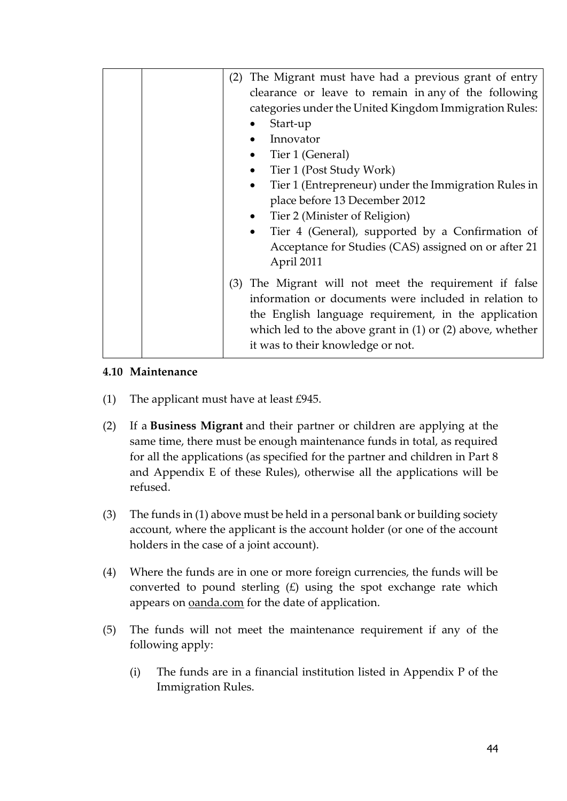| (2) | The Migrant must have had a previous grant of entry<br>clearance or leave to remain in any of the following                                                                                                                              |
|-----|------------------------------------------------------------------------------------------------------------------------------------------------------------------------------------------------------------------------------------------|
|     | categories under the United Kingdom Immigration Rules:                                                                                                                                                                                   |
|     | Start-up                                                                                                                                                                                                                                 |
|     | Innovator                                                                                                                                                                                                                                |
|     | Tier 1 (General)<br>$\bullet$                                                                                                                                                                                                            |
|     | Tier 1 (Post Study Work)<br>$\bullet$                                                                                                                                                                                                    |
|     | Tier 1 (Entrepreneur) under the Immigration Rules in<br>$\bullet$                                                                                                                                                                        |
|     | place before 13 December 2012                                                                                                                                                                                                            |
|     | • Tier 2 (Minister of Religion)                                                                                                                                                                                                          |
|     | Tier 4 (General), supported by a Confirmation of<br>$\bullet$                                                                                                                                                                            |
|     | Acceptance for Studies (CAS) assigned on or after 21                                                                                                                                                                                     |
|     | April 2011                                                                                                                                                                                                                               |
|     | (3) The Migrant will not meet the requirement if false<br>information or documents were included in relation to<br>the English language requirement, in the application<br>which led to the above grant in $(1)$ or $(2)$ above, whether |
|     | it was to their knowledge or not.                                                                                                                                                                                                        |

#### **4.10 Maintenance**

- (1) The applicant must have at least  $\text{\pounds}945$ .
- (2) If a **Business Migrant** and their partner or children are applying at the same time, there must be enough maintenance funds in total, as required for all the applications (as specified for the partner and children in Part 8 and Appendix E of these Rules), otherwise all the applications will be refused.
- (3) The funds in (1) above must be held in a personal bank or building society account, where the applicant is the account holder (or one of the account holders in the case of a joint account).
- (4) Where the funds are in one or more foreign currencies, the funds will be converted to pound sterling  $(E)$  using the spot exchange rate which appears on [oanda.com](https://www.oanda.com/) for the date of application.
- (5) The funds will not meet the maintenance requirement if any of the following apply:
	- (i) The funds are in a financial institution listed in Appendix P of the Immigration Rules.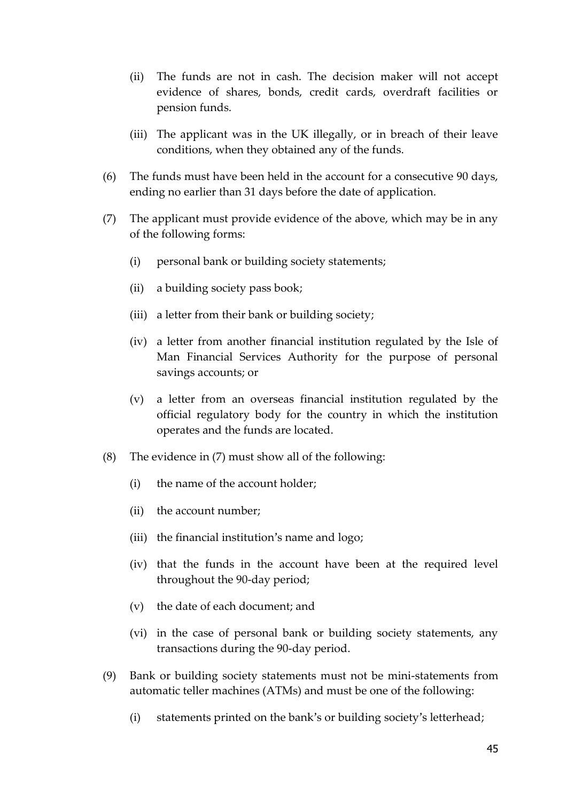- (ii) The funds are not in cash. The [decision](https://www.gov.uk/guidance/immigration-rules/immigration-rules-appendix-w-immigration-rules-for-workers#decisionmaker) maker will not accept evidence of shares, bonds, credit cards, overdraft facilities or pension funds.
- (iii) The applicant was in the UK illegally, or in breach of their leave conditions, when they obtained any of the funds.
- (6) The funds must have been held in the account for a consecutive 90 days, ending no earlier than 31 days before the date of application.
- (7) The applicant must provide evidence of the above, which may be in any of the following forms:
	- (i) personal bank or building society statements;
	- (ii) a building society pass book;
	- (iii) a letter from their bank or building society;
	- (iv) a letter from another financial institution regulated by the Isle of Man Financial Services Authority for the purpose of personal savings accounts; or
	- (v) a letter from an overseas financial institution regulated by the official regulatory body for the country in which the institution operates and the funds are located.
- (8) The evidence in (7) must show all of the following:
	- (i) the name of the account holder;
	- (ii) the account number;
	- (iii) the financial institution's name and logo;
	- (iv) that the funds in the account have been at the required level throughout the 90-day period;
	- (v) the date of each document; and
	- (vi) in the case of personal bank or building society statements, any transactions during the 90-day period.
- (9) Bank or building society statements must not be mini-statements from automatic teller machines (ATMs) and must be one of the following:
	- (i) statements printed on the bank's or building society's letterhead;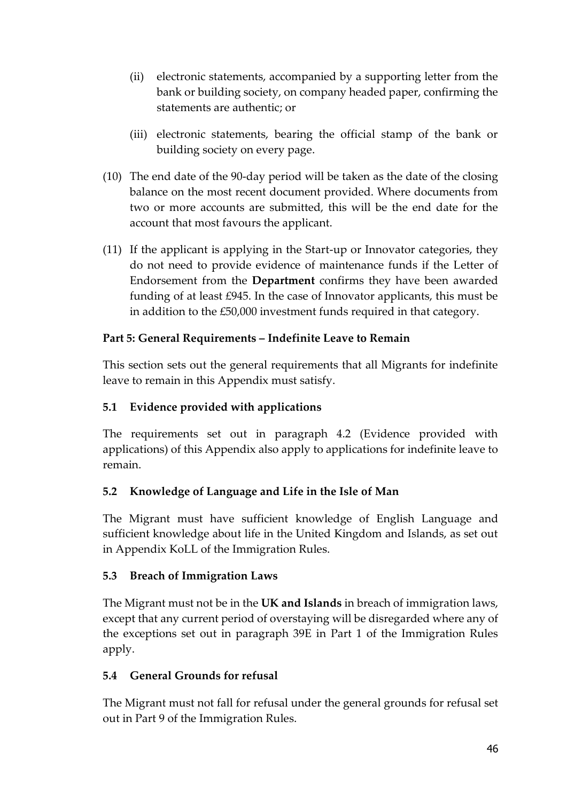- (ii) electronic statements, accompanied by a supporting letter from the bank or building society, on company headed paper, confirming the statements are authentic; or
- (iii) electronic statements, bearing the official stamp of the bank or building society on every page.
- (10) The end date of the 90-day period will be taken as the date of the closing balance on the most recent document provided. Where documents from two or more accounts are submitted, this will be the end date for the account that most favours the applicant.
- (11) If the applicant is applying in the Start-up or Innovator categories, they do not need to provide evidence of maintenance funds if the Letter of Endorsement from the **Department** confirms they have been awarded funding of at least £945. In the case of Innovator applicants, this must be in addition to the £50,000 investment funds required in that category.

# **Part 5: General Requirements – Indefinite Leave to Remain**

This section sets out the general requirements that all Migrants for indefinite leave to remain in this Appendix must satisfy.

# **5.1 Evidence provided with applications**

The requirements set out in paragraph 4.2 (Evidence provided with applications) of this Appendix also apply to applications for indefinite leave to remain.

# **5.2 Knowledge of Language and Life in the Isle of Man**

The Migrant must have sufficient knowledge of English Language and sufficient knowledge about life in the United Kingdom and Islands, as set out in Appendix KoLL of the Immigration Rules.

## **5.3 Breach of Immigration Laws**

The Migrant must not be in the **UK and Islands** in breach of immigration laws, except that any current period of overstaying will be disregarded where any of the exceptions set out in paragraph 39E in Part 1 of the Immigration Rules apply.

# **5.4 General Grounds for refusal**

The Migrant must not fall for refusal under the general grounds for refusal set out in Part 9 of the Immigration Rules.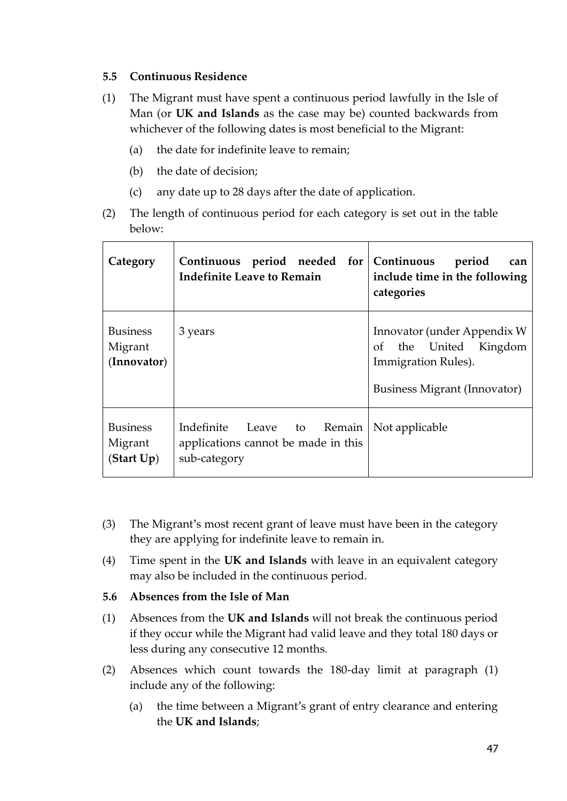#### **5.5 Continuous Residence**

- (1) The Migrant must have spent a continuous period lawfully in the Isle of Man (or **UK and Islands** as the case may be) counted backwards from whichever of the following dates is most beneficial to the Migrant:
	- (a) the date for indefinite leave to remain;
	- (b) the date of decision;
	- (c) any date up to 28 days after the date of application.
- (2) The length of continuous period for each category is set out in the table below:

| Category                                  | Continuous period needed for Continuous<br><b>Indefinite Leave to Remain</b>      | period<br>can<br>include time in the following<br>categories                                                   |
|-------------------------------------------|-----------------------------------------------------------------------------------|----------------------------------------------------------------------------------------------------------------|
| <b>Business</b><br>Migrant<br>(Innovator) | 3 years                                                                           | Innovator (under Appendix W<br>the United Kingdom<br>of<br>Immigration Rules).<br>Business Migrant (Innovator) |
| <b>Business</b><br>Migrant<br>(Start Up)  | Indefinite Leave to Remain<br>applications cannot be made in this<br>sub-category | Not applicable                                                                                                 |

- (3) The Migrant's most recent grant of leave must have been in the category they are applying for indefinite leave to remain in.
- (4) Time spent in the **UK and Islands** with leave in an equivalent category may also be included in the continuous period.

#### **5.6 Absences from the Isle of Man**

- (1) Absences from the **UK and Islands** will not break the continuous period if they occur while the Migrant had valid leave and they total 180 days or less during any consecutive 12 months.
- (2) Absences which count towards the 180-day limit at paragraph (1) include any of the following:
	- (a) the time between a Migrant's grant of entry clearance and entering the **UK and Islands**;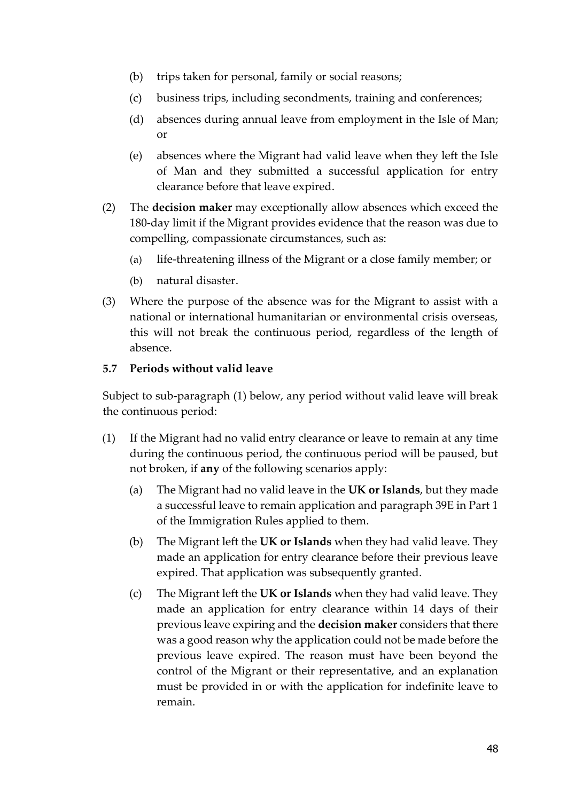- (b) trips taken for personal, family or social reasons;
- (c) business trips, including secondments, training and conferences;
- (d) absences during annual leave from employment in the Isle of Man; or
- (e) absences where the Migrant had valid leave when they left the Isle of Man and they submitted a successful application for entry clearance before that leave expired.
- (2) The **decision maker** may exceptionally allow absences which exceed the 180-day limit if the Migrant provides evidence that the reason was due to compelling, compassionate circumstances, such as:
	- (a) life-threatening illness of the Migrant or a close family member; or
	- (b) natural disaster.
- (3) Where the purpose of the absence was for the Migrant to assist with a national or international humanitarian or environmental crisis overseas, this will not break the continuous period, regardless of the length of absence.

#### **5.7 Periods without valid leave**

Subject to sub-paragraph (1) below, any period without valid leave will break the continuous period:

- (1) If the Migrant had no valid entry clearance or leave to remain at any time during the continuous period, the continuous period will be paused, but not broken, if **any** of the following scenarios apply:
	- (a) The Migrant had no valid leave in the **UK or Islands**, but they made a successful leave to remain application and paragraph 39E in Part 1 of the Immigration Rules applied to them.
	- (b) The Migrant left the **UK or Islands** when they had valid leave. They made an application for entry clearance before their previous leave expired. That application was subsequently granted.
	- (c) The Migrant left the **UK or Islands** when they had valid leave. They made an application for entry clearance within 14 days of their previous leave expiring and the **decision maker** considers that there was a good reason why the application could not be made before the previous leave expired. The reason must have been beyond the control of the Migrant or their representative, and an explanation must be provided in or with the application for indefinite leave to remain.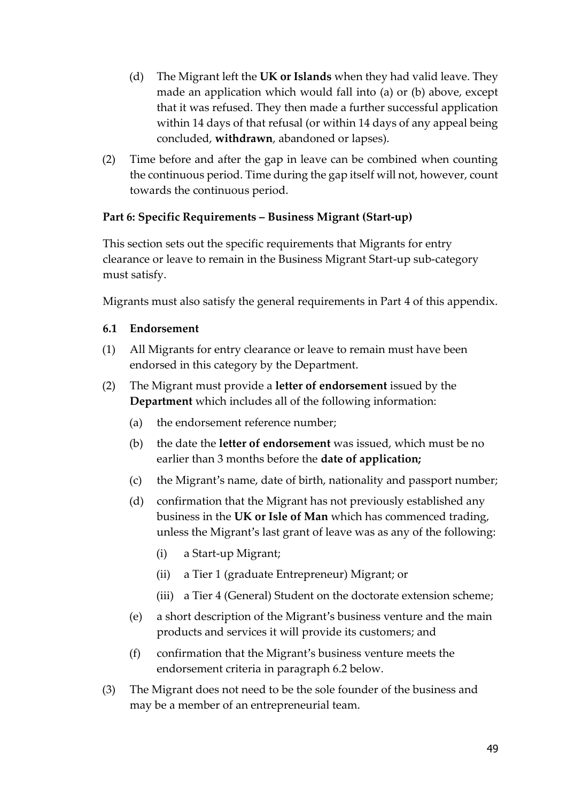- (d) The Migrant left the **UK or Islands** when they had valid leave. They made an application which would fall into (a) or (b) above, except that it was refused. They then made a further successful application within 14 days of that refusal (or within 14 days of any appeal being concluded, **withdrawn**, abandoned or lapses).
- (2) Time before and after the gap in leave can be combined when counting the continuous period. Time during the gap itself will not, however, count towards the continuous period.

## **Part 6: Specific Requirements – Business Migrant (Start-up)**

This section sets out the specific requirements that Migrants for entry clearance or leave to remain in the Business Migrant Start-up sub-category must satisfy.

Migrants must also satisfy the general requirements in Part 4 of this appendix.

#### **6.1 Endorsement**

- (1) All Migrants for entry clearance or leave to remain must have been endorsed in this category by the Department.
- (2) The Migrant must provide a **letter of endorsement** issued by the **Department** which includes all of the following information:
	- (a) the endorsement reference number;
	- (b) the date the **letter of endorsement** was issued, which must be no earlier than 3 months before the **date of application;**
	- (c) the Migrant's name, date of birth, nationality and passport number;
	- (d) confirmation that the Migrant has not previously established any business in the **UK or Isle of Man** which has commenced trading, unless the Migrant's last grant of leave was as any of the following:
		- (i) a Start-up Migrant;
		- (ii) a Tier 1 (graduate Entrepreneur) Migrant; or
		- (iii) a Tier 4 (General) Student on the doctorate extension scheme;
	- (e) a short description of the Migrant's business venture and the main products and services it will provide its customers; and
	- (f) confirmation that the Migrant's business venture meets the endorsement criteria in paragraph 6.2 below.
- (3) The Migrant does not need to be the sole founder of the business and may be a member of an entrepreneurial team.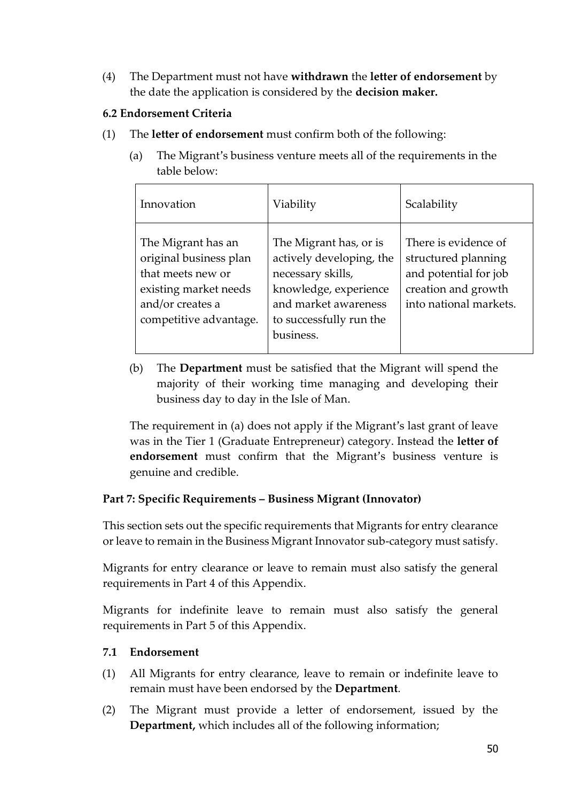(4) The Department must not have **withdrawn** the **letter of endorsement** by the date the application is considered by the **decision maker.**

#### **6.2 Endorsement Criteria**

- (1) The **letter of endorsement** must confirm both of the following:
	- (a) The Migrant's business venture meets all of the requirements in the table below:

| Innovation                                                                                                                               | Viability                                                                                                                                                        | Scalability                                                                                                           |
|------------------------------------------------------------------------------------------------------------------------------------------|------------------------------------------------------------------------------------------------------------------------------------------------------------------|-----------------------------------------------------------------------------------------------------------------------|
| The Migrant has an<br>original business plan<br>that meets new or<br>existing market needs<br>and/or creates a<br>competitive advantage. | The Migrant has, or is<br>actively developing, the<br>necessary skills,<br>knowledge, experience<br>and market awareness<br>to successfully run the<br>business. | There is evidence of<br>structured planning<br>and potential for job<br>creation and growth<br>into national markets. |

(b) The **Department** must be satisfied that the Migrant will spend the majority of their working time managing and developing their business day to day in the Isle of Man.

The requirement in (a) does not apply if the Migrant's last grant of leave was in the Tier 1 (Graduate Entrepreneur) category. Instead the **letter of endorsement** must confirm that the Migrant's business venture is genuine and credible.

## **Part 7: Specific Requirements – Business Migrant (Innovator)**

This section sets out the specific requirements that Migrants for entry clearance or leave to remain in the Business Migrant Innovator sub-category must satisfy.

Migrants for entry clearance or leave to remain must also satisfy the general requirements in Part 4 of this Appendix.

Migrants for indefinite leave to remain must also satisfy the general requirements in Part 5 of this Appendix.

## **7.1 Endorsement**

- (1) All Migrants for entry clearance, leave to remain or indefinite leave to remain must have been endorsed by the **Department**.
- (2) The Migrant must provide a letter of endorsement, issued by the **Department,** which includes all of the following information;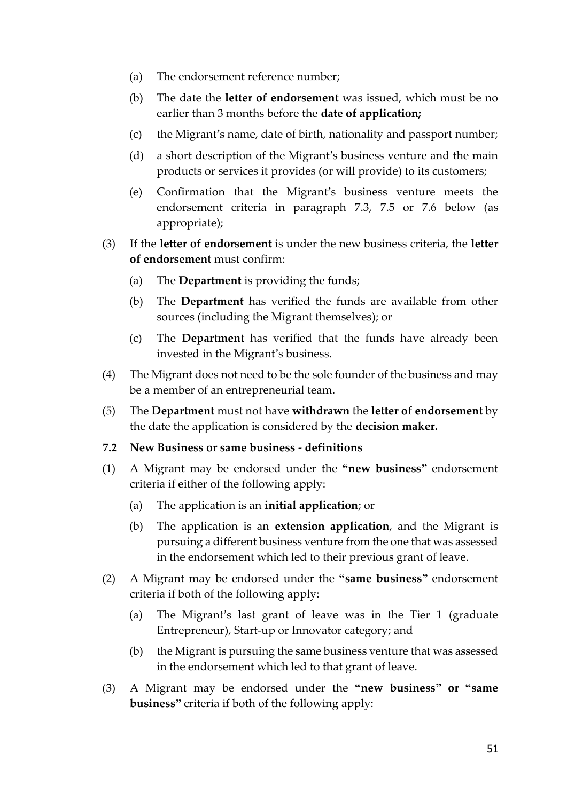- (a) The endorsement reference number;
- (b) The date the **letter of endorsement** was issued, which must be no earlier than 3 months before the **date of application;**
- (c) the Migrant's name, date of birth, nationality and passport number;
- (d) a short description of the Migrant's business venture and the main products or services it provides (or will provide) to its customers;
- (e) Confirmation that the Migrant's business venture meets the endorsement criteria in paragraph 7.3, 7.5 or 7.6 below (as appropriate);
- (3) If the **letter of endorsement** is under the new business criteria, the **letter of endorsement** must confirm:
	- (a) The **Department** is providing the funds;
	- (b) The **Department** has verified the funds are available from other sources (including the Migrant themselves); or
	- (c) The **Department** has verified that the funds have already been invested in the Migrant's business.
- (4) The Migrant does not need to be the sole founder of the business and may be a member of an entrepreneurial team.
- (5) The **Department** must not have **withdrawn** the **letter of endorsement** by the date the application is considered by the **decision maker.**
- **7.2 New Business or same business - definitions**
- (1) A Migrant may be endorsed under the **"new business"** endorsement criteria if either of the following apply:
	- (a) The application is an **initial application**; or
	- (b) The application is an **extension application**, and the Migrant is pursuing a different business venture from the one that was assessed in the endorsement which led to their previous grant of leave.
- (2) A Migrant may be endorsed under the **"same business"** endorsement criteria if both of the following apply:
	- (a) The Migrant's last grant of leave was in the Tier 1 (graduate Entrepreneur), Start-up or Innovator category; and
	- (b) the Migrant is pursuing the same business venture that was assessed in the endorsement which led to that grant of leave.
- (3) A Migrant may be endorsed under the **"new business" or "same business"** criteria if both of the following apply: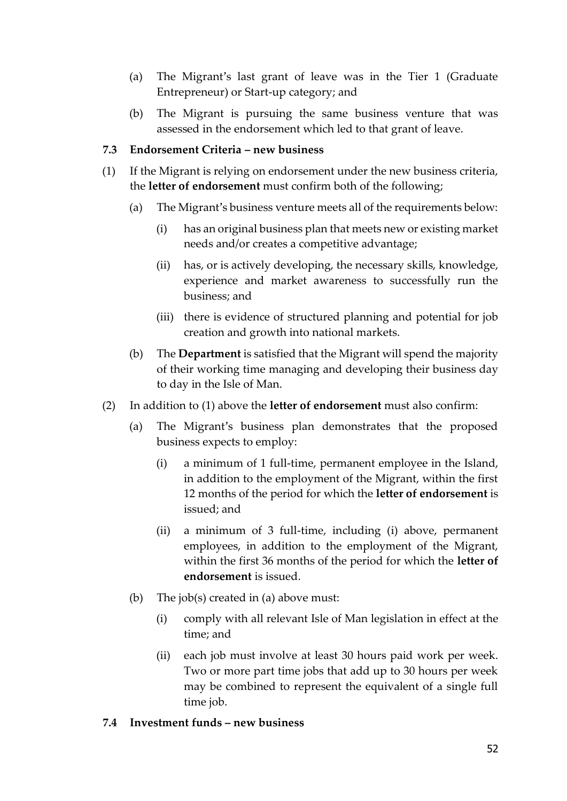- (a) The Migrant's last grant of leave was in the Tier 1 (Graduate Entrepreneur) or Start-up category; and
- (b) The Migrant is pursuing the same business venture that was assessed in the endorsement which led to that grant of leave.

#### **7.3 Endorsement Criteria – new business**

- (1) If the Migrant is relying on endorsement under the new business criteria, the **letter of endorsement** must confirm both of the following;
	- (a) The Migrant's business venture meets all of the requirements below:
		- (i) has an original business plan that meets new or existing market needs and/or creates a competitive advantage;
		- (ii) has, or is actively developing, the necessary skills, knowledge, experience and market awareness to successfully run the business; and
		- (iii) there is evidence of structured planning and potential for job creation and growth into national markets.
	- (b) The **Department** is satisfied that the Migrant will spend the majority of their working time managing and developing their business day to day in the Isle of Man.
- (2) In addition to (1) above the **letter of endorsement** must also confirm:
	- (a) The Migrant's business plan demonstrates that the proposed business expects to employ:
		- (i) a minimum of 1 full-time, permanent employee in the Island, in addition to the employment of the Migrant, within the first 12 months of the period for which the **letter of endorsement** is issued; and
		- (ii) a minimum of 3 full-time, including (i) above, permanent employees, in addition to the employment of the Migrant, within the first 36 months of the period for which the **letter of endorsement** is issued.
	- (b) The job(s) created in (a) above must:
		- (i) comply with all relevant Isle of Man legislation in effect at the time; and
		- (ii) each job must involve at least 30 hours paid work per week. Two or more part time jobs that add up to 30 hours per week may be combined to represent the equivalent of a single full time job.
- **7.4 Investment funds – new business**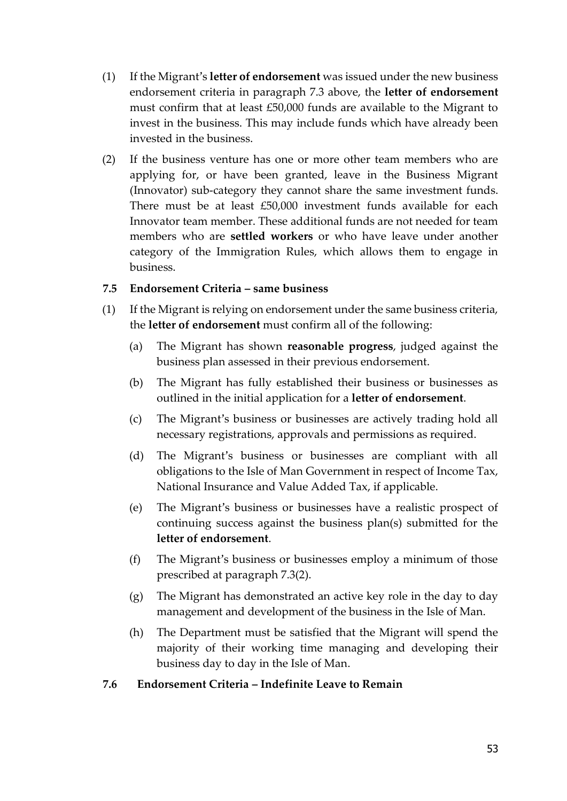- (1) If the Migrant's **letter of endorsement** was issued under the new business endorsement criteria in paragraph 7.3 above, the **letter of endorsement** must confirm that at least £50,000 funds are available to the Migrant to invest in the business. This may include funds which have already been invested in the business.
- (2) If the business venture has one or more other team members who are applying for, or have been granted, leave in the Business Migrant (Innovator) sub-category they cannot share the same investment funds. There must be at least £50,000 investment funds available for each Innovator team member. These additional funds are not needed for team members who are **settled workers** or who have leave under another category of the Immigration Rules, which allows them to engage in business.

#### **7.5 Endorsement Criteria – same business**

- (1) If the Migrant is relying on endorsement under the same business criteria, the **letter of endorsement** must confirm all of the following:
	- (a) The Migrant has shown **reasonable progress**, judged against the business plan assessed in their previous endorsement.
	- (b) The Migrant has fully established their business or businesses as outlined in the initial application for a **letter of endorsement**.
	- (c) The Migrant's business or businesses are actively trading hold all necessary registrations, approvals and permissions as required.
	- (d) The Migrant's business or businesses are compliant with all obligations to the Isle of Man Government in respect of Income Tax, National Insurance and Value Added Tax, if applicable.
	- (e) The Migrant's business or businesses have a realistic prospect of continuing success against the business plan(s) submitted for the **letter of endorsement**.
	- (f) The Migrant's business or businesses employ a minimum of those prescribed at paragraph 7.3(2).
	- (g) The Migrant has demonstrated an active key role in the day to day management and development of the business in the Isle of Man.
	- (h) The Department must be satisfied that the Migrant will spend the majority of their working time managing and developing their business day to day in the Isle of Man.

#### **7.6 Endorsement Criteria – Indefinite Leave to Remain**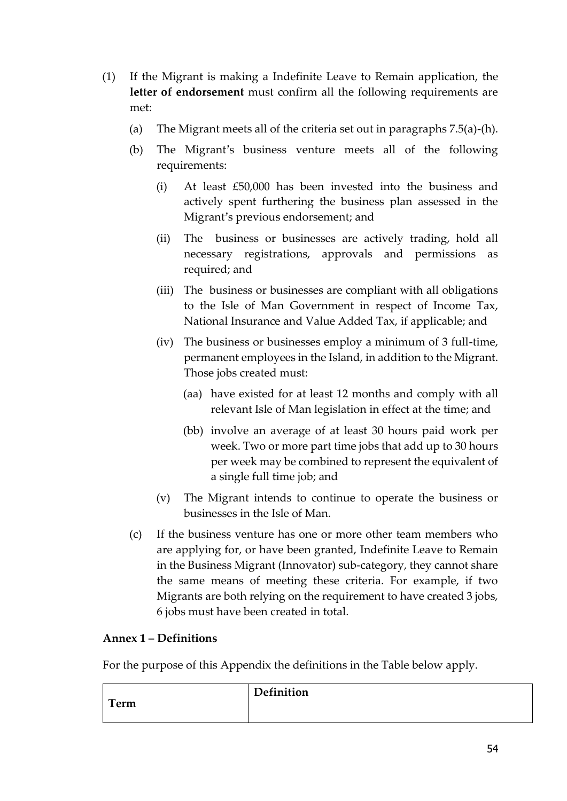- (1) If the Migrant is making a Indefinite Leave to Remain application, the **letter of endorsement** must confirm all the following requirements are met:
	- (a) The Migrant meets all of the criteria set out in paragraphs 7.5(a)-(h).
	- (b) The Migrant's business venture meets all of the following requirements:
		- (i) At least £50,000 has been invested into the business and actively spent furthering the business plan assessed in the Migrant's previous endorsement; and
		- (ii) The business or businesses are actively trading, hold all necessary registrations, approvals and permissions as required; and
		- (iii) The business or businesses are compliant with all obligations to the Isle of Man Government in respect of Income Tax, National Insurance and Value Added Tax, if applicable; and
		- (iv) The business or businesses employ a minimum of 3 full-time, permanent employees in the Island, in addition to the Migrant. Those jobs created must:
			- (aa) have existed for at least 12 months and comply with all relevant Isle of Man legislation in effect at the time; and
			- (bb) involve an average of at least 30 hours paid work per week. Two or more part time jobs that add up to 30 hours per week may be combined to represent the equivalent of a single full time job; and
		- (v) The Migrant intends to continue to operate the business or businesses in the Isle of Man.
	- (c) If the business venture has one or more other team members who are applying for, or have been granted, Indefinite Leave to Remain in the Business Migrant (Innovator) sub-category, they cannot share the same means of meeting these criteria. For example, if two Migrants are both relying on the requirement to have created 3 jobs, 6 jobs must have been created in total.

## **Annex 1 – Definitions**

For the purpose of this Appendix the definitions in the Table below apply.

| Term | <b>Definition</b> |
|------|-------------------|
|      |                   |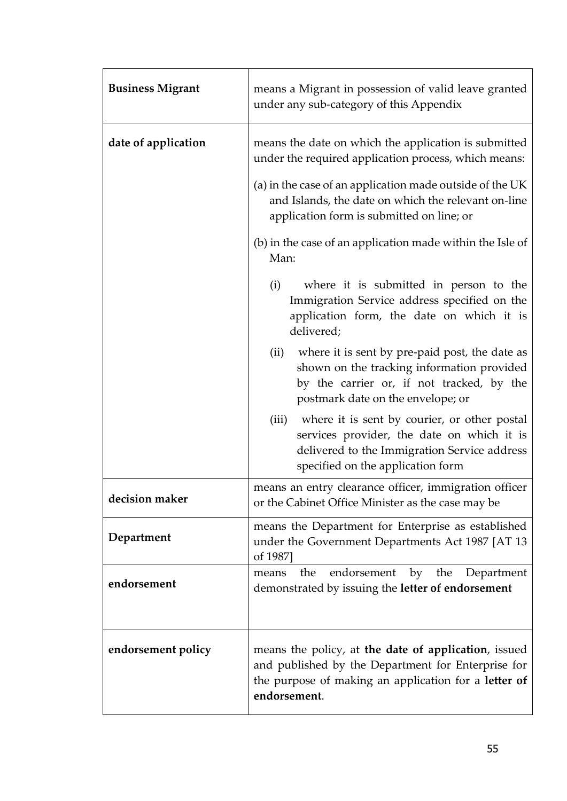| <b>Business Migrant</b> | means a Migrant in possession of valid leave granted<br>under any sub-category of this Appendix                                                                                                                                                                                                                                                                                                                                                                                                                                                                                                                                                                                                                                                                  |  |
|-------------------------|------------------------------------------------------------------------------------------------------------------------------------------------------------------------------------------------------------------------------------------------------------------------------------------------------------------------------------------------------------------------------------------------------------------------------------------------------------------------------------------------------------------------------------------------------------------------------------------------------------------------------------------------------------------------------------------------------------------------------------------------------------------|--|
| date of application     | means the date on which the application is submitted<br>under the required application process, which means:<br>(a) in the case of an application made outside of the UK<br>and Islands, the date on which the relevant on-line<br>application form is submitted on line; or<br>(b) in the case of an application made within the Isle of<br>Man:<br>where it is submitted in person to the<br>(i)<br>Immigration Service address specified on the<br>application form, the date on which it is<br>delivered;<br>where it is sent by pre-paid post, the date as<br>(ii)<br>shown on the tracking information provided<br>by the carrier or, if not tracked, by the<br>postmark date on the envelope; or<br>where it is sent by courier, or other postal<br>(iii) |  |
|                         | services provider, the date on which it is<br>delivered to the Immigration Service address<br>specified on the application form                                                                                                                                                                                                                                                                                                                                                                                                                                                                                                                                                                                                                                  |  |
| decision maker          | means an entry clearance officer, immigration officer<br>or the Cabinet Office Minister as the case may be                                                                                                                                                                                                                                                                                                                                                                                                                                                                                                                                                                                                                                                       |  |
| Department              | means the Department for Enterprise as established<br>under the Government Departments Act 1987 [AT 13<br>of 1987]                                                                                                                                                                                                                                                                                                                                                                                                                                                                                                                                                                                                                                               |  |
| endorsement             | endorsement by the<br>the<br>Department<br>means<br>demonstrated by issuing the letter of endorsement                                                                                                                                                                                                                                                                                                                                                                                                                                                                                                                                                                                                                                                            |  |
| endorsement policy      | means the policy, at the date of application, issued<br>and published by the Department for Enterprise for<br>the purpose of making an application for a letter of<br>endorsement.                                                                                                                                                                                                                                                                                                                                                                                                                                                                                                                                                                               |  |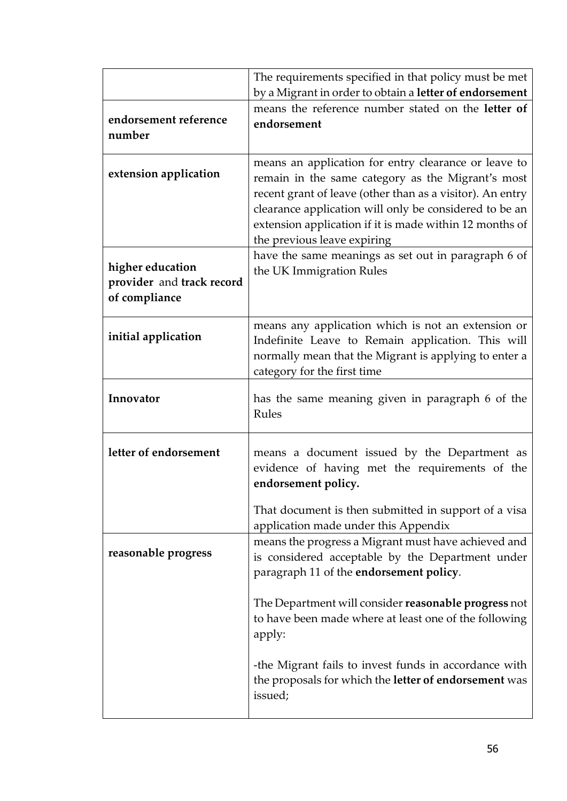|                                                                | The requirements specified in that policy must be met<br>by a Migrant in order to obtain a letter of endorsement                                                                                                                                                                                                           |
|----------------------------------------------------------------|----------------------------------------------------------------------------------------------------------------------------------------------------------------------------------------------------------------------------------------------------------------------------------------------------------------------------|
| endorsement reference<br>number                                | means the reference number stated on the letter of<br>endorsement                                                                                                                                                                                                                                                          |
| extension application                                          | means an application for entry clearance or leave to<br>remain in the same category as the Migrant's most<br>recent grant of leave (other than as a visitor). An entry<br>clearance application will only be considered to be an<br>extension application if it is made within 12 months of<br>the previous leave expiring |
| higher education<br>provider and track record<br>of compliance | have the same meanings as set out in paragraph 6 of<br>the UK Immigration Rules                                                                                                                                                                                                                                            |
| initial application                                            | means any application which is not an extension or<br>Indefinite Leave to Remain application. This will<br>normally mean that the Migrant is applying to enter a<br>category for the first time                                                                                                                            |
| Innovator                                                      | has the same meaning given in paragraph 6 of the<br>Rules                                                                                                                                                                                                                                                                  |
| letter of endorsement                                          | means a document issued by the Department as<br>evidence of having met the requirements of the<br>endorsement policy.                                                                                                                                                                                                      |
|                                                                | That document is then submitted in support of a visa<br>application made under this Appendix                                                                                                                                                                                                                               |
| reasonable progress                                            | means the progress a Migrant must have achieved and<br>is considered acceptable by the Department under<br>paragraph 11 of the endorsement policy.                                                                                                                                                                         |
|                                                                | The Department will consider reasonable progress not<br>to have been made where at least one of the following<br>apply:                                                                                                                                                                                                    |
|                                                                | -the Migrant fails to invest funds in accordance with<br>the proposals for which the letter of endorsement was<br>issued;                                                                                                                                                                                                  |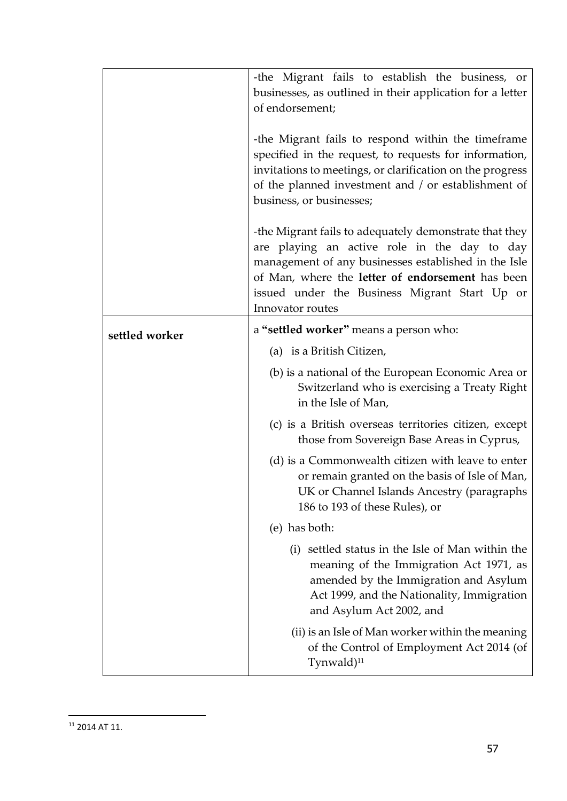|                | -the Migrant fails to establish the business, or<br>businesses, as outlined in their application for a letter<br>of endorsement;                                                                                                                                                        |
|----------------|-----------------------------------------------------------------------------------------------------------------------------------------------------------------------------------------------------------------------------------------------------------------------------------------|
|                | -the Migrant fails to respond within the timeframe<br>specified in the request, to requests for information,<br>invitations to meetings, or clarification on the progress<br>of the planned investment and / or establishment of<br>business, or businesses;                            |
|                | -the Migrant fails to adequately demonstrate that they<br>are playing an active role in the day to day<br>management of any businesses established in the Isle<br>of Man, where the letter of endorsement has been<br>issued under the Business Migrant Start Up or<br>Innovator routes |
| settled worker | a "settled worker" means a person who:                                                                                                                                                                                                                                                  |
|                | (a) is a British Citizen,                                                                                                                                                                                                                                                               |
|                | (b) is a national of the European Economic Area or<br>Switzerland who is exercising a Treaty Right<br>in the Isle of Man,                                                                                                                                                               |
|                | (c) is a British overseas territories citizen, except<br>those from Sovereign Base Areas in Cyprus,                                                                                                                                                                                     |
|                | (d) is a Commonwealth citizen with leave to enter<br>or remain granted on the basis of Isle of Man,<br>UK or Channel Islands Ancestry (paragraphs<br>186 to 193 of these Rules), or                                                                                                     |
|                | (e) has both:                                                                                                                                                                                                                                                                           |
|                | (i) settled status in the Isle of Man within the<br>meaning of the Immigration Act 1971, as<br>amended by the Immigration and Asylum<br>Act 1999, and the Nationality, Immigration<br>and Asylum Act 2002, and                                                                          |
|                | (ii) is an Isle of Man worker within the meaning<br>of the Control of Employment Act 2014 (of<br>Tynwald $)^{11}$                                                                                                                                                                       |

<sup>11</sup> 2014 AT 11.

-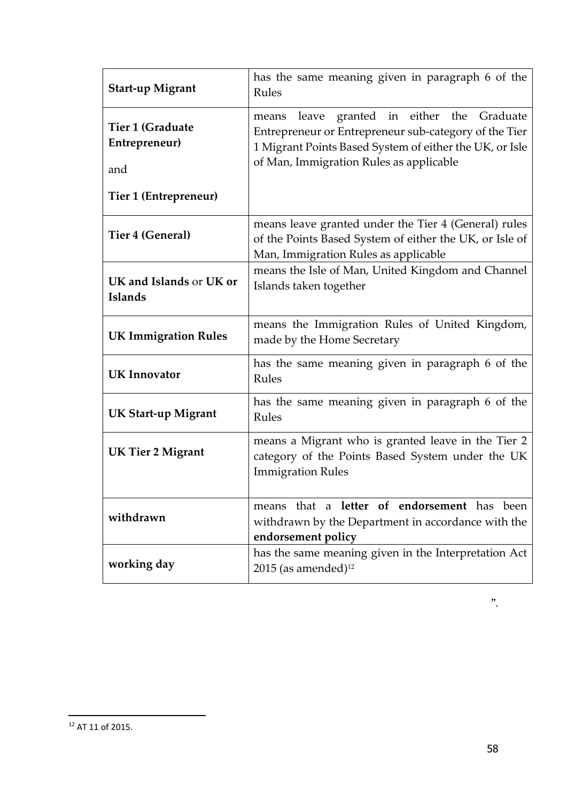| <b>Start-up Migrant</b>                                           | has the same meaning given in paragraph 6 of the<br>Rules                                                                                                                                                          |  |
|-------------------------------------------------------------------|--------------------------------------------------------------------------------------------------------------------------------------------------------------------------------------------------------------------|--|
| Tier 1 (Graduate<br>Entrepreneur)<br>and<br>Tier 1 (Entrepreneur) | granted in either the<br>Graduate<br>leave<br>means<br>Entrepreneur or Entrepreneur sub-category of the Tier<br>1 Migrant Points Based System of either the UK, or Isle<br>of Man, Immigration Rules as applicable |  |
| Tier 4 (General)                                                  | means leave granted under the Tier 4 (General) rules<br>of the Points Based System of either the UK, or Isle of<br>Man, Immigration Rules as applicable                                                            |  |
| UK and Islands or UK or<br><b>Islands</b>                         | means the Isle of Man, United Kingdom and Channel<br>Islands taken together                                                                                                                                        |  |
| <b>UK Immigration Rules</b>                                       | means the Immigration Rules of United Kingdom,<br>made by the Home Secretary                                                                                                                                       |  |
| <b>UK</b> Innovator                                               | has the same meaning given in paragraph 6 of the<br>Rules                                                                                                                                                          |  |
| <b>UK Start-up Migrant</b>                                        | has the same meaning given in paragraph 6 of the<br>Rules                                                                                                                                                          |  |
| <b>UK Tier 2 Migrant</b>                                          | means a Migrant who is granted leave in the Tier 2<br>category of the Points Based System under the UK<br><b>Immigration Rules</b>                                                                                 |  |
| withdrawn                                                         | means that a letter of endorsement has been<br>withdrawn by the Department in accordance with the<br>endorsement policy                                                                                            |  |
| working day                                                       | has the same meaning given in the Interpretation Act<br>$2015$ (as amended) <sup>12</sup>                                                                                                                          |  |

-

<sup>12</sup> AT 11 of 2015.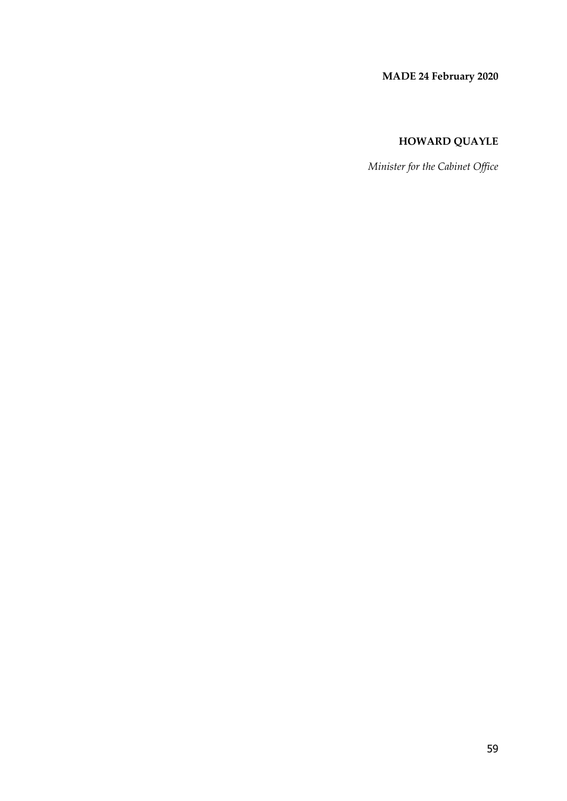## **MADE 24 February 2020**

## **HOWARD QUAYLE**

*Minister for the Cabinet Office*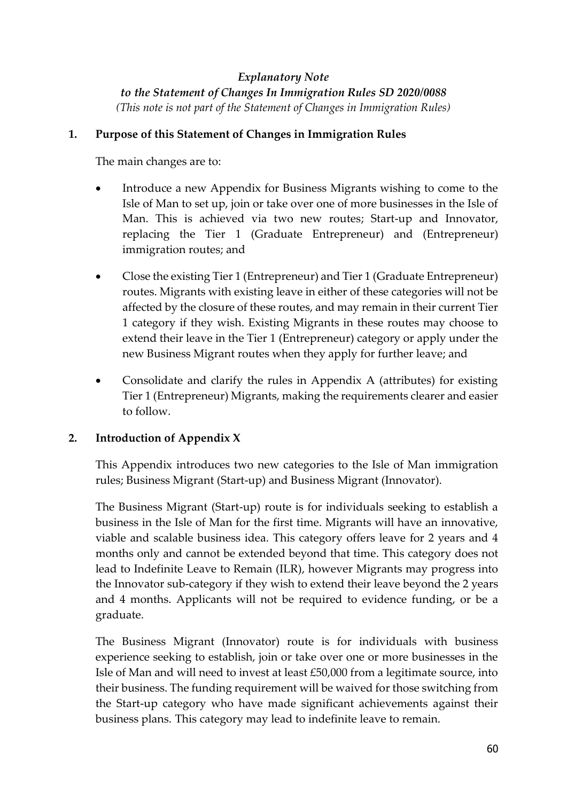# *Explanatory Note*

*to the Statement of Changes In Immigration Rules SD 2020/0088 (This note is not part of the Statement of Changes in Immigration Rules)*

#### **1. Purpose of this Statement of Changes in Immigration Rules**

The main changes are to:

- Introduce a new Appendix for Business Migrants wishing to come to the Isle of Man to set up, join or take over one of more businesses in the Isle of Man. This is achieved via two new routes; Start-up and Innovator, replacing the Tier 1 (Graduate Entrepreneur) and (Entrepreneur) immigration routes; and
- Close the existing Tier 1 (Entrepreneur) and Tier 1 (Graduate Entrepreneur) routes. Migrants with existing leave in either of these categories will not be affected by the closure of these routes, and may remain in their current Tier 1 category if they wish. Existing Migrants in these routes may choose to extend their leave in the Tier 1 (Entrepreneur) category or apply under the new Business Migrant routes when they apply for further leave; and
- Consolidate and clarify the rules in Appendix A (attributes) for existing Tier 1 (Entrepreneur) Migrants, making the requirements clearer and easier to follow.

## **2. Introduction of Appendix X**

This Appendix introduces two new categories to the Isle of Man immigration rules; Business Migrant (Start-up) and Business Migrant (Innovator).

The Business Migrant (Start-up) route is for individuals seeking to establish a business in the Isle of Man for the first time. Migrants will have an innovative, viable and scalable business idea. This category offers leave for 2 years and 4 months only and cannot be extended beyond that time. This category does not lead to Indefinite Leave to Remain (ILR), however Migrants may progress into the Innovator sub-category if they wish to extend their leave beyond the 2 years and 4 months. Applicants will not be required to evidence funding, or be a graduate.

The Business Migrant (Innovator) route is for individuals with business experience seeking to establish, join or take over one or more businesses in the Isle of Man and will need to invest at least £50,000 from a legitimate source, into their business. The funding requirement will be waived for those switching from the Start-up category who have made significant achievements against their business plans. This category may lead to indefinite leave to remain.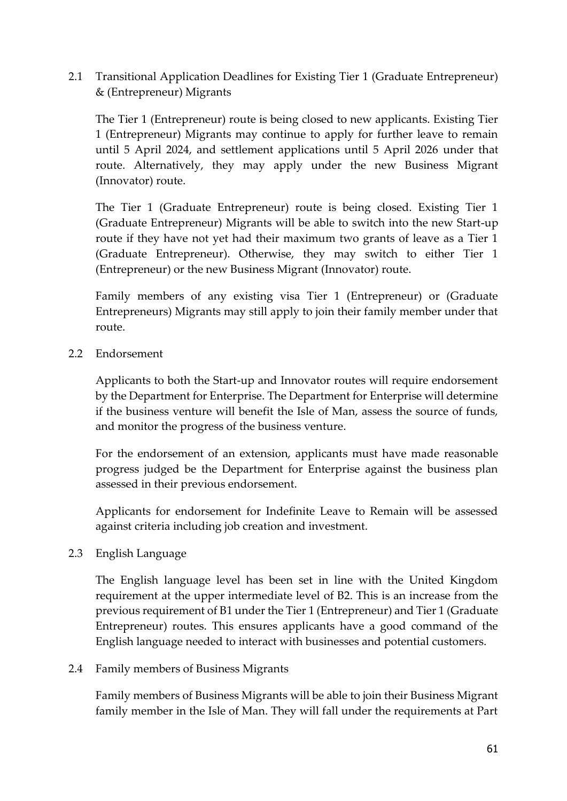2.1 Transitional Application Deadlines for Existing Tier 1 (Graduate Entrepreneur) & (Entrepreneur) Migrants

The Tier 1 (Entrepreneur) route is being closed to new applicants. Existing Tier 1 (Entrepreneur) Migrants may continue to apply for further leave to remain until 5 April 2024, and settlement applications until 5 April 2026 under that route. Alternatively, they may apply under the new Business Migrant (Innovator) route.

The Tier 1 (Graduate Entrepreneur) route is being closed. Existing Tier 1 (Graduate Entrepreneur) Migrants will be able to switch into the new Start-up route if they have not yet had their maximum two grants of leave as a Tier 1 (Graduate Entrepreneur). Otherwise, they may switch to either Tier 1 (Entrepreneur) or the new Business Migrant (Innovator) route.

Family members of any existing visa Tier 1 (Entrepreneur) or (Graduate Entrepreneurs) Migrants may still apply to join their family member under that route.

2.2 Endorsement

Applicants to both the Start-up and Innovator routes will require endorsement by the Department for Enterprise. The Department for Enterprise will determine if the business venture will benefit the Isle of Man, assess the source of funds, and monitor the progress of the business venture.

For the endorsement of an extension, applicants must have made reasonable progress judged be the Department for Enterprise against the business plan assessed in their previous endorsement.

Applicants for endorsement for Indefinite Leave to Remain will be assessed against criteria including job creation and investment.

2.3 English Language

The English language level has been set in line with the United Kingdom requirement at the upper intermediate level of B2. This is an increase from the previous requirement of B1 under the Tier 1 (Entrepreneur) and Tier 1 (Graduate Entrepreneur) routes. This ensures applicants have a good command of the English language needed to interact with businesses and potential customers.

#### 2.4 Family members of Business Migrants

Family members of Business Migrants will be able to join their Business Migrant family member in the Isle of Man. They will fall under the requirements at Part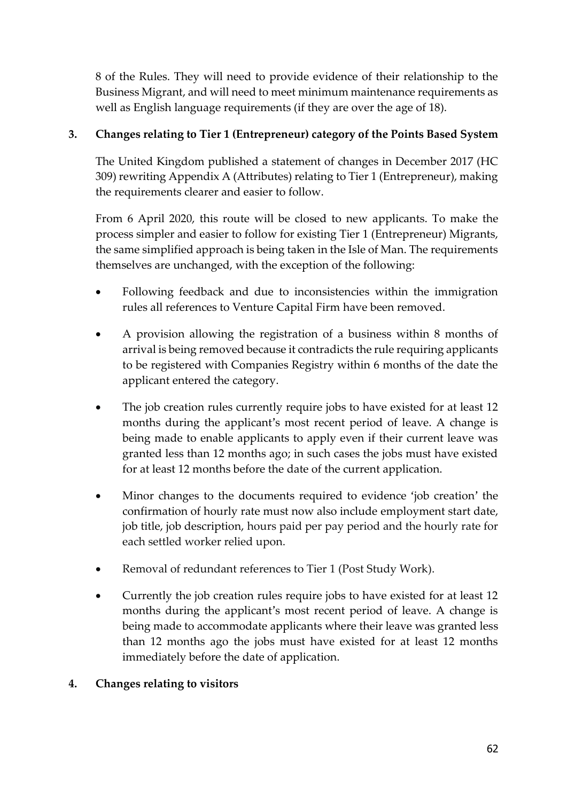8 of the Rules. They will need to provide evidence of their relationship to the Business Migrant, and will need to meet minimum maintenance requirements as well as English language requirements (if they are over the age of 18).

# **3. Changes relating to Tier 1 (Entrepreneur) category of the Points Based System**

The United Kingdom published a statement of changes in December 2017 (HC 309) rewriting Appendix A (Attributes) relating to Tier 1 (Entrepreneur), making the requirements clearer and easier to follow.

From 6 April 2020, this route will be closed to new applicants. To make the process simpler and easier to follow for existing Tier 1 (Entrepreneur) Migrants, the same simplified approach is being taken in the Isle of Man. The requirements themselves are unchanged, with the exception of the following:

- Following feedback and due to inconsistencies within the immigration rules all references to Venture Capital Firm have been removed.
- A provision allowing the registration of a business within 8 months of arrival is being removed because it contradicts the rule requiring applicants to be registered with Companies Registry within 6 months of the date the applicant entered the category.
- The job creation rules currently require jobs to have existed for at least 12 months during the applicant's most recent period of leave. A change is being made to enable applicants to apply even if their current leave was granted less than 12 months ago; in such cases the jobs must have existed for at least 12 months before the date of the current application.
- Minor changes to the documents required to evidence 'job creation' the confirmation of hourly rate must now also include employment start date, job title, job description, hours paid per pay period and the hourly rate for each settled worker relied upon.
- Removal of redundant references to Tier 1 (Post Study Work).
- Currently the job creation rules require jobs to have existed for at least 12 months during the applicant's most recent period of leave. A change is being made to accommodate applicants where their leave was granted less than 12 months ago the jobs must have existed for at least 12 months immediately before the date of application.

# **4. Changes relating to visitors**